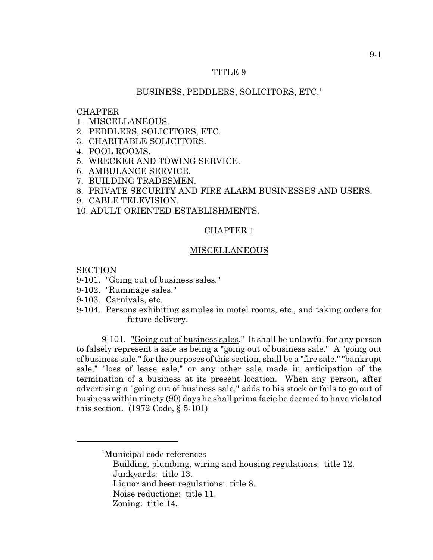## TITLE 9

## BUSINESS, PEDDLERS, SOLICITORS, ETC.<sup>1</sup>

## **CHAPTER**

- 1. MISCELLANEOUS.
- 2. PEDDLERS, SOLICITORS, ETC.
- 3. CHARITABLE SOLICITORS.
- 4. POOL ROOMS.
- 5. WRECKER AND TOWING SERVICE.
- 6. AMBULANCE SERVICE.
- 7. BUILDING TRADESMEN.
- 8. PRIVATE SECURITY AND FIRE ALARM BUSINESSES AND USERS.
- 9. CABLE TELEVISION.
- 10. ADULT ORIENTED ESTABLISHMENTS.

# CHAPTER 1

### MISCELLANEOUS

SECTION

- 9-101. "Going out of business sales."
- 9-102. "Rummage sales."
- 9-103. Carnivals, etc.
- 9-104. Persons exhibiting samples in motel rooms, etc., and taking orders for future delivery.

9-101. "Going out of business sales." It shall be unlawful for any person to falsely represent a sale as being a "going out of business sale." A "going out of business sale," for the purposes of this section, shall be a "fire sale," "bankrupt sale," "loss of lease sale," or any other sale made in anticipation of the termination of a business at its present location. When any person, after advertising a "going out of business sale," adds to his stock or fails to go out of business within ninety (90) days he shall prima facie be deemed to have violated this section. (1972 Code, § 5-101)

- Building, plumbing, wiring and housing regulations: title 12. Junkyards: title 13.
- Liquor and beer regulations: title 8.
- Noise reductions: title 11.
- Zoning: title 14.

<sup>&</sup>lt;sup>1</sup>Municipal code references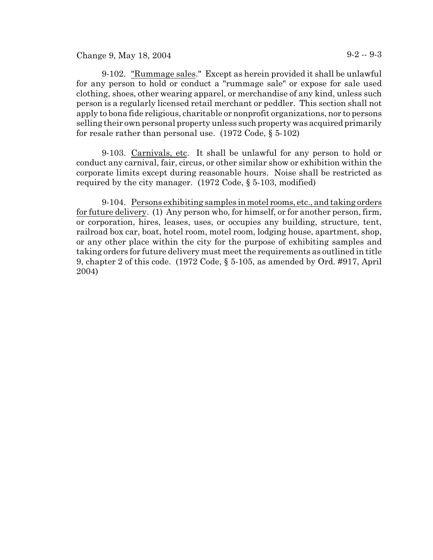Change 9, May 18, 2004 9-2 -- 9-3

9-102. "Rummage sales." Except as herein provided it shall be unlawful for any person to hold or conduct a "rummage sale" or expose for sale used clothing, shoes, other wearing apparel, or merchandise of any kind, unless such person is a regularly licensed retail merchant or peddler. This section shall not apply to bona fide religious, charitable or nonprofit organizations, nor to persons selling their own personal property unless such property was acquired primarily for resale rather than personal use. (1972 Code, § 5-102)

9-103. Carnivals, etc. It shall be unlawful for any person to hold or conduct any carnival, fair, circus, or other similar show or exhibition within the corporate limits except during reasonable hours. Noise shall be restricted as required by the city manager. (1972 Code, § 5-103, modified)

9-104. Persons exhibiting samples in motel rooms, etc., and taking orders for future delivery. (1) Any person who, for himself, or for another person, firm, or corporation, hires, leases, uses, or occupies any building, structure, tent, railroad box car, boat, hotel room, motel room, lodging house, apartment, shop, or any other place within the city for the purpose of exhibiting samples and taking orders for future delivery must meet the requirements as outlined in title 9, chapter 2 of this code. (1972 Code, § 5-105, as amended by Ord. #917, April 2004)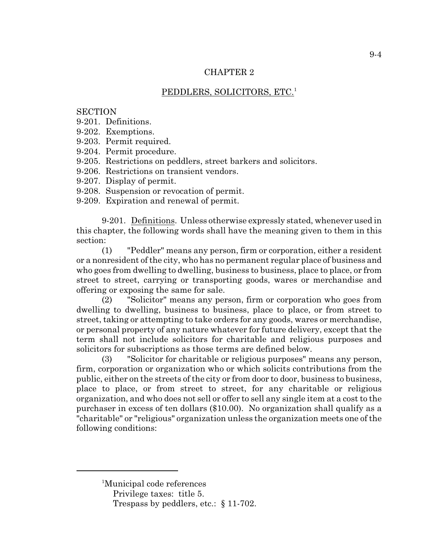## CHAPTER 2

# PEDDLERS, SOLICITORS, ETC.<sup>1</sup>

## **SECTION**

- 9-201. Definitions.
- 9-202. Exemptions.
- 9-203. Permit required.
- 9-204. Permit procedure.
- 9-205. Restrictions on peddlers, street barkers and solicitors.
- 9-206. Restrictions on transient vendors.
- 9-207. Display of permit.
- 9-208. Suspension or revocation of permit.
- 9-209. Expiration and renewal of permit.

9-201. Definitions. Unless otherwise expressly stated, whenever used in this chapter, the following words shall have the meaning given to them in this section:

(1) "Peddler" means any person, firm or corporation, either a resident or a nonresident of the city, who has no permanent regular place of business and who goes from dwelling to dwelling, business to business, place to place, or from street to street, carrying or transporting goods, wares or merchandise and offering or exposing the same for sale.

(2) "Solicitor" means any person, firm or corporation who goes from dwelling to dwelling, business to business, place to place, or from street to street, taking or attempting to take orders for any goods, wares or merchandise, or personal property of any nature whatever for future delivery, except that the term shall not include solicitors for charitable and religious purposes and solicitors for subscriptions as those terms are defined below.

(3) "Solicitor for charitable or religious purposes" means any person, firm, corporation or organization who or which solicits contributions from the public, either on the streets of the city or from door to door, business to business, place to place, or from street to street, for any charitable or religious organization, and who does not sell or offer to sell any single item at a cost to the purchaser in excess of ten dollars (\$10.00). No organization shall qualify as a "charitable" or "religious" organization unless the organization meets one of the following conditions:

<sup>&</sup>lt;sup>1</sup>Municipal code references

Privilege taxes: title 5.

Trespass by peddlers, etc.: § 11-702.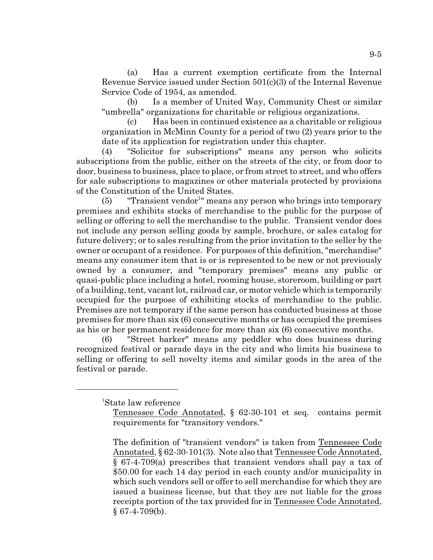(a) Has a current exemption certificate from the Internal Revenue Service issued under Section 501(c)(3) of the Internal Revenue Service Code of 1954, as amended.

(b) Is a member of United Way, Community Chest or similar "umbrella" organizations for charitable or religious organizations.

(c) Has been in continued existence as a charitable or religious organization in McMinn County for a period of two (2) years prior to the date of its application for registration under this chapter.

(4) "Solicitor for subscriptions" means any person who solicits subscriptions from the public, either on the streets of the city, or from door to door, business to business, place to place, or from street to street, and who offers for sale subscriptions to magazines or other materials protected by provisions of the Constitution of the United States.

 $(5)$  "Transient vendor<sup>1</sup>" means any person who brings into temporary premises and exhibits stocks of merchandise to the public for the purpose of selling or offering to sell the merchandise to the public. Transient vendor does not include any person selling goods by sample, brochure, or sales catalog for future delivery; or to sales resulting from the prior invitation to the seller by the owner or occupant of a residence. For purposes of this definition, "merchandise" means any consumer item that is or is represented to be new or not previously owned by a consumer, and "temporary premises" means any public or quasi-public place including a hotel, rooming house, storeroom, building or part of a building, tent, vacant lot, railroad car, or motor vehicle which is temporarily occupied for the purpose of exhibiting stocks of merchandise to the public. Premises are not temporary if the same person has conducted business at those premises for more than six (6) consecutive months or has occupied the premises as his or her permanent residence for more than six (6) consecutive months.

(6) "Street barker" means any peddler who does business during recognized festival or parade days in the city and who limits his business to selling or offering to sell novelty items and similar goods in the area of the festival or parade.

<sup>1</sup>State law reference

Tennessee Code Annotated, § 62-30-101 et seq. contains permit requirements for "transitory vendors."

The definition of "transient vendors" is taken from Tennessee Code Annotated, § 62-30-101(3). Note also that Tennessee Code Annotated, § 67-4-709(a) prescribes that transient vendors shall pay a tax of \$50.00 for each 14 day period in each county and/or municipality in which such vendors sell or offer to sell merchandise for which they are issued a business license, but that they are not liable for the gross receipts portion of the tax provided for in Tennessee Code Annotated,  $§$  67-4-709(b).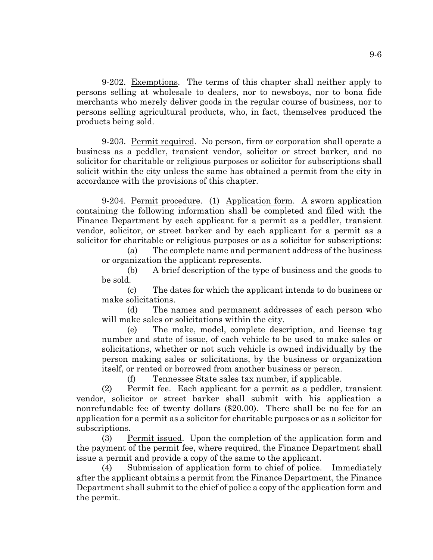9-202. Exemptions. The terms of this chapter shall neither apply to persons selling at wholesale to dealers, nor to newsboys, nor to bona fide merchants who merely deliver goods in the regular course of business, nor to persons selling agricultural products, who, in fact, themselves produced the products being sold.

9-203. Permit required. No person, firm or corporation shall operate a business as a peddler, transient vendor, solicitor or street barker, and no solicitor for charitable or religious purposes or solicitor for subscriptions shall solicit within the city unless the same has obtained a permit from the city in accordance with the provisions of this chapter.

9-204. Permit procedure. (1) Application form. A sworn application containing the following information shall be completed and filed with the Finance Department by each applicant for a permit as a peddler, transient vendor, solicitor, or street barker and by each applicant for a permit as a solicitor for charitable or religious purposes or as a solicitor for subscriptions:

(a) The complete name and permanent address of the business or organization the applicant represents.

(b) A brief description of the type of business and the goods to be sold.

(c) The dates for which the applicant intends to do business or make solicitations.

(d) The names and permanent addresses of each person who will make sales or solicitations within the city.

(e) The make, model, complete description, and license tag number and state of issue, of each vehicle to be used to make sales or solicitations, whether or not such vehicle is owned individually by the person making sales or solicitations, by the business or organization itself, or rented or borrowed from another business or person.

(f) Tennessee State sales tax number, if applicable.

(2) Permit fee. Each applicant for a permit as a peddler, transient vendor, solicitor or street barker shall submit with his application a nonrefundable fee of twenty dollars (\$20.00). There shall be no fee for an application for a permit as a solicitor for charitable purposes or as a solicitor for subscriptions.

(3) Permit issued. Upon the completion of the application form and the payment of the permit fee, where required, the Finance Department shall issue a permit and provide a copy of the same to the applicant.

(4) Submission of application form to chief of police. Immediately after the applicant obtains a permit from the Finance Department, the Finance Department shall submit to the chief of police a copy of the application form and the permit.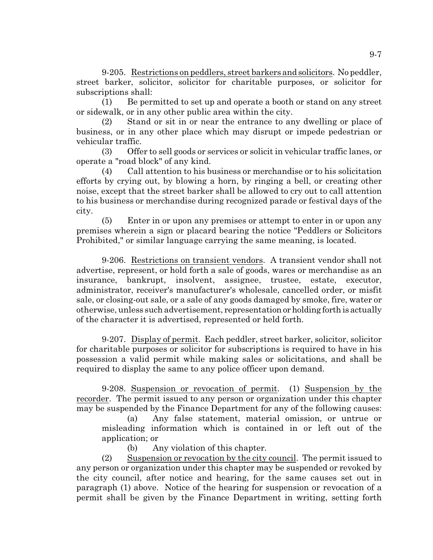9-205. Restrictions on peddlers, street barkers and solicitors. No peddler, street barker, solicitor, solicitor for charitable purposes, or solicitor for subscriptions shall:

(1) Be permitted to set up and operate a booth or stand on any street or sidewalk, or in any other public area within the city.

(2) Stand or sit in or near the entrance to any dwelling or place of business, or in any other place which may disrupt or impede pedestrian or vehicular traffic.

(3) Offer to sell goods or services or solicit in vehicular traffic lanes, or operate a "road block" of any kind.

(4) Call attention to his business or merchandise or to his solicitation efforts by crying out, by blowing a horn, by ringing a bell, or creating other noise, except that the street barker shall be allowed to cry out to call attention to his business or merchandise during recognized parade or festival days of the city.

(5) Enter in or upon any premises or attempt to enter in or upon any premises wherein a sign or placard bearing the notice "Peddlers or Solicitors Prohibited," or similar language carrying the same meaning, is located.

9-206. Restrictions on transient vendors. A transient vendor shall not advertise, represent, or hold forth a sale of goods, wares or merchandise as an insurance, bankrupt, insolvent, assignee, trustee, estate, executor, administrator, receiver's manufacturer's wholesale, cancelled order, or misfit sale, or closing-out sale, or a sale of any goods damaged by smoke, fire, water or otherwise, unless such advertisement, representation or holding forth is actually of the character it is advertised, represented or held forth.

9-207. Display of permit. Each peddler, street barker, solicitor, solicitor for charitable purposes or solicitor for subscriptions is required to have in his possession a valid permit while making sales or solicitations, and shall be required to display the same to any police officer upon demand.

9-208. Suspension or revocation of permit. (1) Suspension by the recorder. The permit issued to any person or organization under this chapter may be suspended by the Finance Department for any of the following causes:

(a) Any false statement, material omission, or untrue or misleading information which is contained in or left out of the application; or

(b) Any violation of this chapter.

(2) Suspension or revocation by the city council. The permit issued to any person or organization under this chapter may be suspended or revoked by the city council, after notice and hearing, for the same causes set out in paragraph (1) above. Notice of the hearing for suspension or revocation of a permit shall be given by the Finance Department in writing, setting forth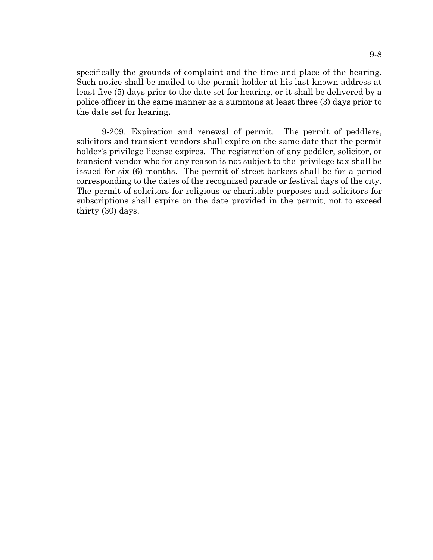specifically the grounds of complaint and the time and place of the hearing. Such notice shall be mailed to the permit holder at his last known address at least five (5) days prior to the date set for hearing, or it shall be delivered by a police officer in the same manner as a summons at least three (3) days prior to the date set for hearing.

9-209. Expiration and renewal of permit. The permit of peddlers, solicitors and transient vendors shall expire on the same date that the permit holder's privilege license expires. The registration of any peddler, solicitor, or transient vendor who for any reason is not subject to the privilege tax shall be issued for six (6) months. The permit of street barkers shall be for a period corresponding to the dates of the recognized parade or festival days of the city. The permit of solicitors for religious or charitable purposes and solicitors for subscriptions shall expire on the date provided in the permit, not to exceed thirty (30) days.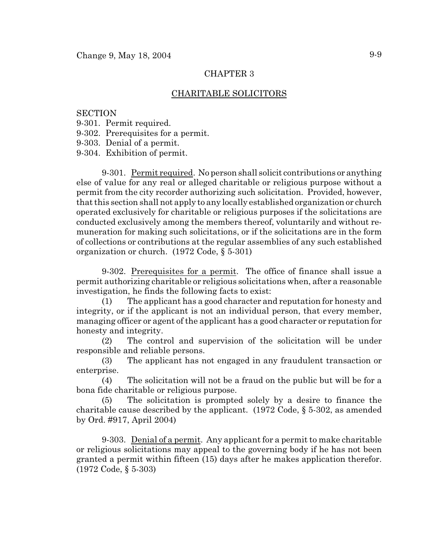## CHAPTER 3

## CHARITABLE SOLICITORS

### **SECTION**

- 9-301. Permit required.
- 9-302. Prerequisites for a permit.

9-303. Denial of a permit.

9-304. Exhibition of permit.

9-301. Permit required. No person shall solicit contributions or anything else of value for any real or alleged charitable or religious purpose without a permit from the city recorder authorizing such solicitation. Provided, however, that this section shall not apply to any locally established organization or church operated exclusively for charitable or religious purposes if the solicitations are conducted exclusively among the members thereof, voluntarily and without remuneration for making such solicitations, or if the solicitations are in the form of collections or contributions at the regular assemblies of any such established organization or church. (1972 Code, § 5-301)

9-302. Prerequisites for a permit. The office of finance shall issue a permit authorizing charitable or religious solicitations when, after a reasonable investigation, he finds the following facts to exist:

(1) The applicant has a good character and reputation for honesty and integrity, or if the applicant is not an individual person, that every member, managing officer or agent of the applicant has a good character or reputation for honesty and integrity.

(2) The control and supervision of the solicitation will be under responsible and reliable persons.

(3) The applicant has not engaged in any fraudulent transaction or enterprise.

(4) The solicitation will not be a fraud on the public but will be for a bona fide charitable or religious purpose.

(5) The solicitation is prompted solely by a desire to finance the charitable cause described by the applicant. (1972 Code, § 5-302, as amended by Ord. #917, April 2004)

9-303. Denial of a permit. Any applicant for a permit to make charitable or religious solicitations may appeal to the governing body if he has not been granted a permit within fifteen (15) days after he makes application therefor. (1972 Code, § 5-303)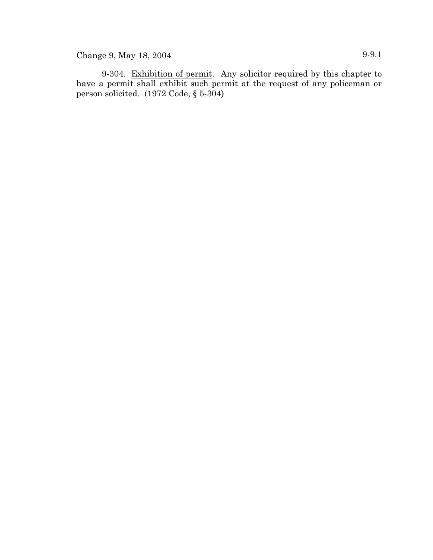Change 9, May 18, 2004 9-9.1

9-304. Exhibition of permit. Any solicitor required by this chapter to have a permit shall exhibit such permit at the request of any policeman or person solicited. (1972 Code, § 5-304)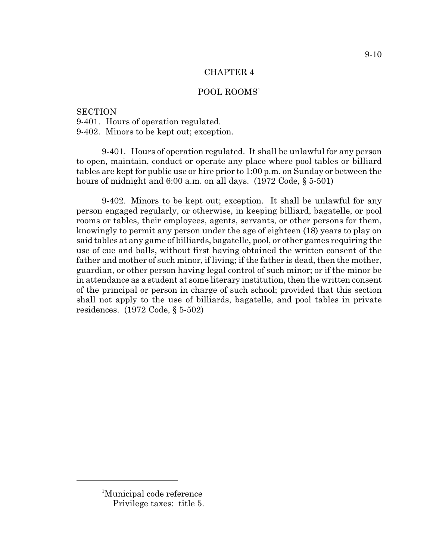### CHAPTER 4

## POOL ROOMS<sup>1</sup>

### **SECTION**

9-401. Hours of operation regulated.

9-402. Minors to be kept out; exception.

9-401. Hours of operation regulated. It shall be unlawful for any person to open, maintain, conduct or operate any place where pool tables or billiard tables are kept for public use or hire prior to 1:00 p.m. on Sunday or between the hours of midnight and 6:00 a.m. on all days. (1972 Code, § 5-501)

9-402. Minors to be kept out; exception. It shall be unlawful for any person engaged regularly, or otherwise, in keeping billiard, bagatelle, or pool rooms or tables, their employees, agents, servants, or other persons for them, knowingly to permit any person under the age of eighteen (18) years to play on said tables at any game of billiards, bagatelle, pool, or other games requiring the use of cue and balls, without first having obtained the written consent of the father and mother of such minor, if living; if the father is dead, then the mother, guardian, or other person having legal control of such minor; or if the minor be in attendance as a student at some literary institution, then the written consent of the principal or person in charge of such school; provided that this section shall not apply to the use of billiards, bagatelle, and pool tables in private residences. (1972 Code, § 5-502)

<sup>9-10</sup>

<sup>&</sup>lt;sup>1</sup>Municipal code reference Privilege taxes: title 5.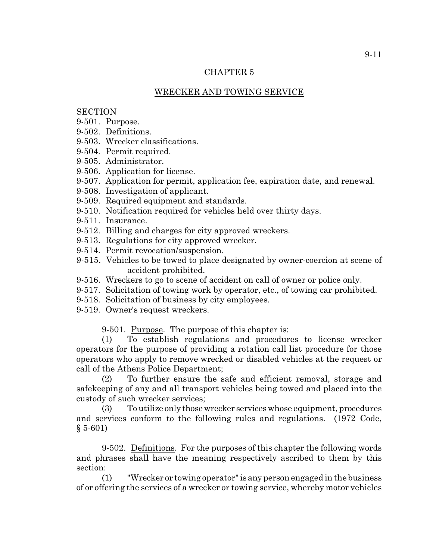## CHAPTER 5

# WRECKER AND TOWING SERVICE

## **SECTION**

- 9-501. Purpose.
- 9-502. Definitions.
- 9-503. Wrecker classifications.
- 9-504. Permit required.
- 9-505. Administrator.
- 9-506. Application for license.
- 9-507. Application for permit, application fee, expiration date, and renewal.
- 9-508. Investigation of applicant.
- 9-509. Required equipment and standards.
- 9-510. Notification required for vehicles held over thirty days.
- 9-511. Insurance.
- 9-512. Billing and charges for city approved wreckers.
- 9-513. Regulations for city approved wrecker.
- 9-514. Permit revocation/suspension.
- 9-515. Vehicles to be towed to place designated by owner-coercion at scene of accident prohibited.
- 9-516. Wreckers to go to scene of accident on call of owner or police only.
- 9-517. Solicitation of towing work by operator, etc., of towing car prohibited.
- 9-518. Solicitation of business by city employees.
- 9-519. Owner's request wreckers.

9-501. Purpose. The purpose of this chapter is:

(1) To establish regulations and procedures to license wrecker operators for the purpose of providing a rotation call list procedure for those operators who apply to remove wrecked or disabled vehicles at the request or call of the Athens Police Department;

(2) To further ensure the safe and efficient removal, storage and safekeeping of any and all transport vehicles being towed and placed into the custody of such wrecker services;

(3) To utilize only those wrecker services whose equipment, procedures and services conform to the following rules and regulations. (1972 Code,  $§ 5-601)$ 

9-502. Definitions. For the purposes of this chapter the following words and phrases shall have the meaning respectively ascribed to them by this section:

(1) "Wrecker or towing operator" is any person engaged in the business of or offering the services of a wrecker or towing service, whereby motor vehicles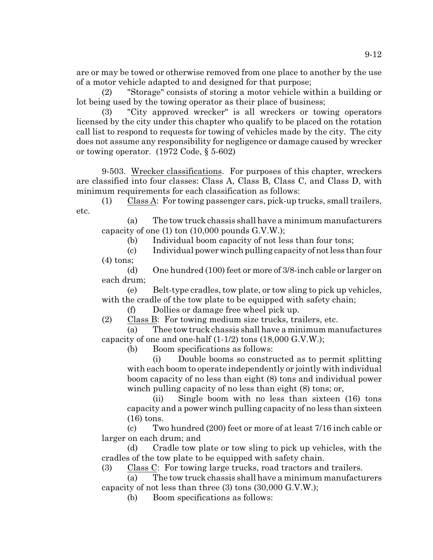are or may be towed or otherwise removed from one place to another by the use of a motor vehicle adapted to and designed for that purpose;

(2) "Storage" consists of storing a motor vehicle within a building or lot being used by the towing operator as their place of business;

(3) "City approved wrecker" is all wreckers or towing operators licensed by the city under this chapter who qualify to be placed on the rotation call list to respond to requests for towing of vehicles made by the city. The city does not assume any responsibility for negligence or damage caused by wrecker or towing operator. (1972 Code, § 5-602)

9-503. Wrecker classifications. For purposes of this chapter, wreckers are classified into four classes: Class A, Class B, Class C, and Class D, with minimum requirements for each classification as follows:

(1) Class A: For towing passenger cars, pick-up trucks, small trailers, etc.

(a) The tow truck chassis shall have a minimum manufacturers capacity of one (1) ton (10,000 pounds G.V.W.);

(b) Individual boom capacity of not less than four tons;

(c) Individual power winch pulling capacity of not less than four (4) tons;

(d) One hundred (100) feet or more of 3/8-inch cable or larger on each drum;

(e) Belt-type cradles, tow plate, or tow sling to pick up vehicles, with the cradle of the tow plate to be equipped with safety chain;

(f) Dollies or damage free wheel pick up.

(2) Class B: For towing medium size trucks, trailers, etc.

(a) Thee tow truck chassis shall have a minimum manufactures capacity of one and one-half  $(1-1/2)$  tons  $(18,000 \text{ G.V.W.})$ ;

(b) Boom specifications as follows:

(i) Double booms so constructed as to permit splitting with each boom to operate independently or jointly with individual boom capacity of no less than eight (8) tons and individual power winch pulling capacity of no less than eight  $(8)$  tons; or,

(ii) Single boom with no less than sixteen (16) tons capacity and a power winch pulling capacity of no less than sixteen (16) tons.

(c) Two hundred (200) feet or more of at least 7/16 inch cable or larger on each drum; and

(d) Cradle tow plate or tow sling to pick up vehicles, with the cradles of the tow plate to be equipped with safety chain.

(3) Class C: For towing large trucks, road tractors and trailers.

(a) The tow truck chassis shall have a minimum manufacturers capacity of not less than three (3) tons (30,000 G.V.W.);

(b) Boom specifications as follows: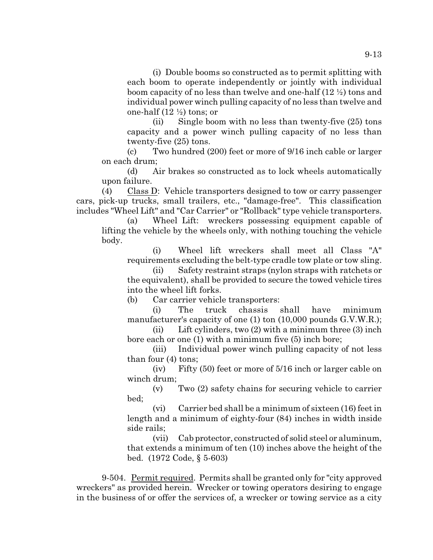(i) Double booms so constructed as to permit splitting with each boom to operate independently or jointly with individual boom capacity of no less than twelve and one-half (12 ½) tons and individual power winch pulling capacity of no less than twelve and one-half  $(12 \frac{1}{2})$  tons; or

(ii) Single boom with no less than twenty-five (25) tons capacity and a power winch pulling capacity of no less than twenty-five (25) tons.

(c) Two hundred (200) feet or more of 9/16 inch cable or larger on each drum;

(d) Air brakes so constructed as to lock wheels automatically upon failure.

(4) Class D: Vehicle transporters designed to tow or carry passenger cars, pick-up trucks, small trailers, etc., "damage-free". This classification includes "Wheel Lift" and "Car Carrier" or "Rollback" type vehicle transporters.

(a) Wheel Lift: wreckers possessing equipment capable of lifting the vehicle by the wheels only, with nothing touching the vehicle body.

(i) Wheel lift wreckers shall meet all Class "A" requirements excluding the belt-type cradle tow plate or tow sling.

(ii) Safety restraint straps (nylon straps with ratchets or the equivalent), shall be provided to secure the towed vehicle tires into the wheel lift forks.

(b) Car carrier vehicle transporters:

(i) The truck chassis shall have minimum manufacturer's capacity of one (1) ton (10,000 pounds G.V.W.R.);

(ii) Lift cylinders, two (2) with a minimum three (3) inch bore each or one (1) with a minimum five (5) inch bore;

(iii) Individual power winch pulling capacity of not less than four (4) tons;

(iv) Fifty (50) feet or more of 5/16 inch or larger cable on winch drum;

(v) Two (2) safety chains for securing vehicle to carrier bed;

(vi) Carrier bed shall be a minimum of sixteen (16) feet in length and a minimum of eighty-four (84) inches in width inside side rails;

(vii) Cab protector, constructed of solid steel or aluminum, that extends a minimum of ten (10) inches above the height of the bed. (1972 Code, § 5-603)

9-504. Permit required. Permits shall be granted only for "city approved wreckers" as provided herein. Wrecker or towing operators desiring to engage in the business of or offer the services of, a wrecker or towing service as a city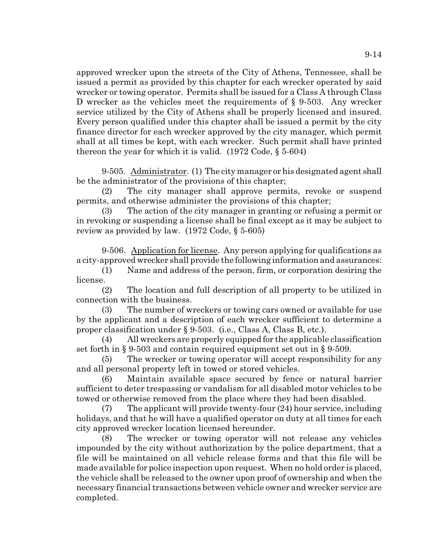approved wrecker upon the streets of the City of Athens, Tennessee, shall be issued a permit as provided by this chapter for each wrecker operated by said wrecker or towing operator. Permits shall be issued for a Class A through Class D wrecker as the vehicles meet the requirements of § 9-503. Any wrecker service utilized by the City of Athens shall be properly licensed and insured. Every person qualified under this chapter shall be issued a permit by the city finance director for each wrecker approved by the city manager, which permit shall at all times be kept, with each wrecker. Such permit shall have printed thereon the year for which it is valid.  $(1972 \text{ Code}, \S 5-604)$ 

9-505. Administrator. (1) The city manager or his designated agent shall be the administrator of the provisions of this chapter;

(2) The city manager shall approve permits, revoke or suspend permits, and otherwise administer the provisions of this chapter;

(3) The action of the city manager in granting or refusing a permit or in revoking or suspending a license shall be final except as it may be subject to review as provided by law. (1972 Code, § 5-605)

9-506. Application for license. Any person applying for qualifications as a city-approved wrecker shall provide the following information and assurances:

(1) Name and address of the person, firm, or corporation desiring the license.

(2) The location and full description of all property to be utilized in connection with the business.

(3) The number of wreckers or towing cars owned or available for use by the applicant and a description of each wrecker sufficient to determine a proper classification under § 9-503. (i.e., Class A, Class B, etc.).

(4) All wreckers are properly equipped for the applicable classification set forth in § 9-503 and contain required equipment set out in § 9-509.

(5) The wrecker or towing operator will accept responsibility for any and all personal property left in towed or stored vehicles.

(6) Maintain available space secured by fence or natural barrier sufficient to deter trespassing or vandalism for all disabled motor vehicles to be towed or otherwise removed from the place where they had been disabled.

 $(7)$  The applicant will provide twenty-four  $(24)$  hour service, including holidays, and that he will have a qualified operator on duty at all times for each city approved wrecker location licensed hereunder.

(8) The wrecker or towing operator will not release any vehicles impounded by the city without authorization by the police department, that a file will be maintained on all vehicle release forms and that this file will be made available for police inspection upon request. When no hold order is placed, the vehicle shall be released to the owner upon proof of ownership and when the necessary financial transactions between vehicle owner and wrecker service are completed.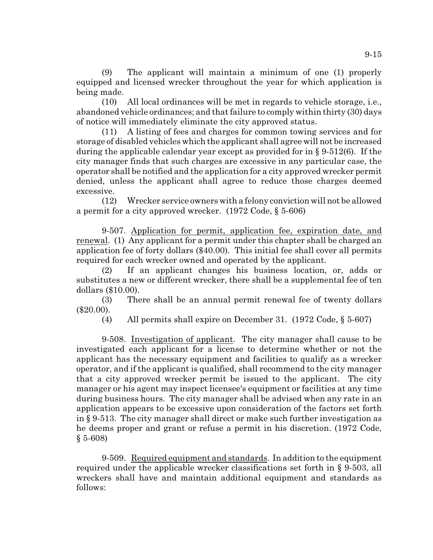(9) The applicant will maintain a minimum of one (1) properly equipped and licensed wrecker throughout the year for which application is being made.

(10) All local ordinances will be met in regards to vehicle storage, i.e., abandoned vehicle ordinances; and that failure to comply within thirty (30) days of notice will immediately eliminate the city approved status.

(11) A listing of fees and charges for common towing services and for storage of disabled vehicles which the applicant shall agree will not be increased during the applicable calendar year except as provided for in § 9-512(6). If the city manager finds that such charges are excessive in any particular case, the operator shall be notified and the application for a city approved wrecker permit denied, unless the applicant shall agree to reduce those charges deemed excessive.

(12) Wrecker service owners with a felony conviction will not be allowed a permit for a city approved wrecker. (1972 Code, § 5-606)

9-507. Application for permit, application fee, expiration date, and renewal. (1) Any applicant for a permit under this chapter shall be charged an application fee of forty dollars (\$40.00). This initial fee shall cover all permits required for each wrecker owned and operated by the applicant.

(2) If an applicant changes his business location, or, adds or substitutes a new or different wrecker, there shall be a supplemental fee of ten dollars (\$10.00).

(3) There shall be an annual permit renewal fee of twenty dollars (\$20.00).

(4) All permits shall expire on December 31. (1972 Code, § 5-607)

9-508. Investigation of applicant. The city manager shall cause to be investigated each applicant for a license to determine whether or not the applicant has the necessary equipment and facilities to qualify as a wrecker operator, and if the applicant is qualified, shall recommend to the city manager that a city approved wrecker permit be issued to the applicant. The city manager or his agent may inspect licensee's equipment or facilities at any time during business hours. The city manager shall be advised when any rate in an application appears to be excessive upon consideration of the factors set forth in § 9-513. The city manager shall direct or make such further investigation as he deems proper and grant or refuse a permit in his discretion. (1972 Code, § 5-608)

9-509. Required equipment and standards. In addition to the equipment required under the applicable wrecker classifications set forth in § 9-503, all wreckers shall have and maintain additional equipment and standards as follows: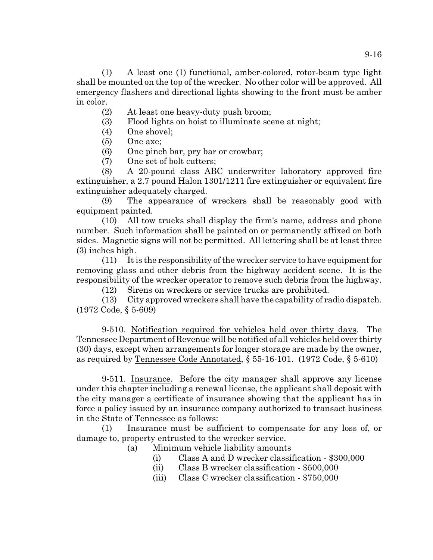(1) A least one (1) functional, amber-colored, rotor-beam type light shall be mounted on the top of the wrecker. No other color will be approved. All emergency flashers and directional lights showing to the front must be amber in color.

- (2) At least one heavy-duty push broom;
- (3) Flood lights on hoist to illuminate scene at night;
- (4) One shovel;
- (5) One axe;
- (6) One pinch bar, pry bar or crowbar;
- (7) One set of bolt cutters;

(8) A 20-pound class ABC underwriter laboratory approved fire extinguisher, a 2.7 pound Halon 1301/1211 fire extinguisher or equivalent fire extinguisher adequately charged.

(9) The appearance of wreckers shall be reasonably good with equipment painted.

(10) All tow trucks shall display the firm's name, address and phone number. Such information shall be painted on or permanently affixed on both sides. Magnetic signs will not be permitted. All lettering shall be at least three (3) inches high.

(11) It is the responsibility of the wrecker service to have equipment for removing glass and other debris from the highway accident scene. It is the responsibility of the wrecker operator to remove such debris from the highway.

(12) Sirens on wreckers or service trucks are prohibited.

(13) City approved wreckers shall have the capability of radio dispatch. (1972 Code, § 5-609)

9-510. Notification required for vehicles held over thirty days. The TennesseeDepartment of Revenue will be notified of all vehicles held over thirty (30) days, except when arrangements for longer storage are made by the owner, as required by Tennessee Code Annotated, § 55-16-101. (1972 Code, § 5-610)

9-511. Insurance. Before the city manager shall approve any license under this chapter including a renewal license, the applicant shall deposit with the city manager a certificate of insurance showing that the applicant has in force a policy issued by an insurance company authorized to transact business in the State of Tennessee as follows:

(1) Insurance must be sufficient to compensate for any loss of, or damage to, property entrusted to the wrecker service.

- (a) Minimum vehicle liability amounts
	- (i) Class A and D wrecker classification \$300,000
	- (ii) Class B wrecker classification \$500,000
	- (iii) Class C wrecker classification \$750,000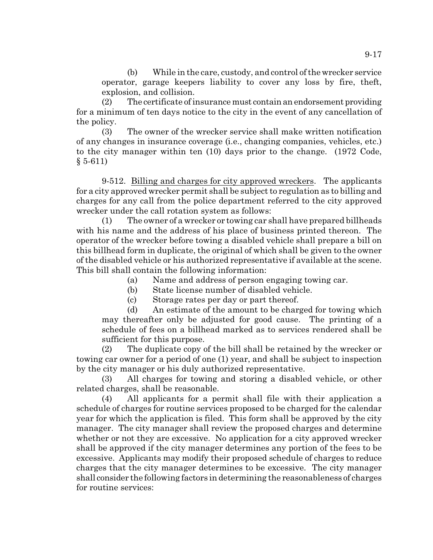(b) While in the care, custody, and control of the wrecker service operator, garage keepers liability to cover any loss by fire, theft, explosion, and collision.

(2) The certificate of insurance must contain an endorsement providing for a minimum of ten days notice to the city in the event of any cancellation of the policy.

(3) The owner of the wrecker service shall make written notification of any changes in insurance coverage (i.e., changing companies, vehicles, etc.) to the city manager within ten (10) days prior to the change. (1972 Code,  $§ 5-611)$ 

9-512. Billing and charges for city approved wreckers. The applicants for a city approved wrecker permit shall be subject to regulation as to billing and charges for any call from the police department referred to the city approved wrecker under the call rotation system as follows:

(1) The owner of a wrecker or towing car shall have prepared billheads with his name and the address of his place of business printed thereon. The operator of the wrecker before towing a disabled vehicle shall prepare a bill on this billhead form in duplicate, the original of which shall be given to the owner of the disabled vehicle or his authorized representative if available at the scene. This bill shall contain the following information:

(a) Name and address of person engaging towing car.

(b) State license number of disabled vehicle.

(c) Storage rates per day or part thereof.

(d) An estimate of the amount to be charged for towing which may thereafter only be adjusted for good cause. The printing of a schedule of fees on a billhead marked as to services rendered shall be sufficient for this purpose.

(2) The duplicate copy of the bill shall be retained by the wrecker or towing car owner for a period of one (1) year, and shall be subject to inspection by the city manager or his duly authorized representative.

(3) All charges for towing and storing a disabled vehicle, or other related charges, shall be reasonable.

(4) All applicants for a permit shall file with their application a schedule of charges for routine services proposed to be charged for the calendar year for which the application is filed. This form shall be approved by the city manager. The city manager shall review the proposed charges and determine whether or not they are excessive. No application for a city approved wrecker shall be approved if the city manager determines any portion of the fees to be excessive. Applicants may modify their proposed schedule of charges to reduce charges that the city manager determines to be excessive. The city manager shall consider the following factors in determining the reasonableness of charges for routine services: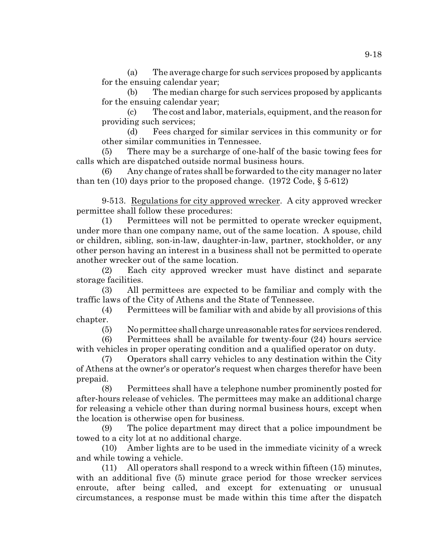(a) The average charge for such services proposed by applicants for the ensuing calendar year;

(b) The median charge for such services proposed by applicants for the ensuing calendar year;

(c) The cost and labor, materials, equipment, and the reason for providing such services;

(d) Fees charged for similar services in this community or for other similar communities in Tennessee.

(5) There may be a surcharge of one-half of the basic towing fees for calls which are dispatched outside normal business hours.

(6) Any change of rates shall be forwarded to the city manager no later than ten (10) days prior to the proposed change.  $(1972 \text{ Code}, \xi 5.612)$ 

9-513. Regulations for city approved wrecker. A city approved wrecker permittee shall follow these procedures:

(1) Permittees will not be permitted to operate wrecker equipment, under more than one company name, out of the same location. A spouse, child or children, sibling, son-in-law, daughter-in-law, partner, stockholder, or any other person having an interest in a business shall not be permitted to operate another wrecker out of the same location.

(2) Each city approved wrecker must have distinct and separate storage facilities.

(3) All permittees are expected to be familiar and comply with the traffic laws of the City of Athens and the State of Tennessee.

(4) Permittees will be familiar with and abide by all provisions of this chapter.

(5) No permittee shall charge unreasonable rates for services rendered.

(6) Permittees shall be available for twenty-four (24) hours service with vehicles in proper operating condition and a qualified operator on duty.

(7) Operators shall carry vehicles to any destination within the City of Athens at the owner's or operator's request when charges therefor have been prepaid.

(8) Permittees shall have a telephone number prominently posted for after-hours release of vehicles. The permittees may make an additional charge for releasing a vehicle other than during normal business hours, except when the location is otherwise open for business.

(9) The police department may direct that a police impoundment be towed to a city lot at no additional charge.

(10) Amber lights are to be used in the immediate vicinity of a wreck and while towing a vehicle.

(11) All operators shall respond to a wreck within fifteen (15) minutes, with an additional five (5) minute grace period for those wrecker services enroute, after being called, and except for extenuating or unusual circumstances, a response must be made within this time after the dispatch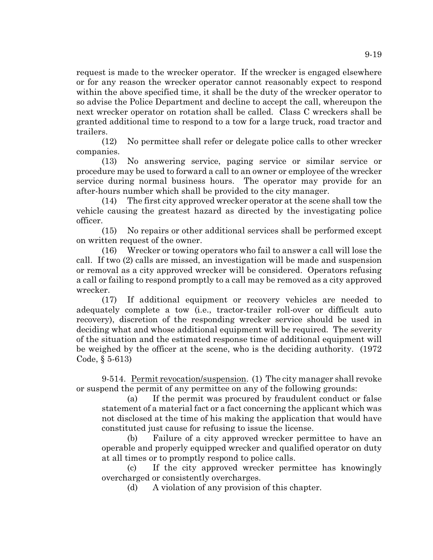request is made to the wrecker operator. If the wrecker is engaged elsewhere or for any reason the wrecker operator cannot reasonably expect to respond within the above specified time, it shall be the duty of the wrecker operator to so advise the Police Department and decline to accept the call, whereupon the next wrecker operator on rotation shall be called. Class C wreckers shall be granted additional time to respond to a tow for a large truck, road tractor and trailers.

(12) No permittee shall refer or delegate police calls to other wrecker companies.

(13) No answering service, paging service or similar service or procedure may be used to forward a call to an owner or employee of the wrecker service during normal business hours. The operator may provide for an after-hours number which shall be provided to the city manager.

(14) The first city approved wrecker operator at the scene shall tow the vehicle causing the greatest hazard as directed by the investigating police officer.

(15) No repairs or other additional services shall be performed except on written request of the owner.

(16) Wrecker or towing operators who fail to answer a call will lose the call. If two (2) calls are missed, an investigation will be made and suspension or removal as a city approved wrecker will be considered. Operators refusing a call or failing to respond promptly to a call may be removed as a city approved wrecker.

(17) If additional equipment or recovery vehicles are needed to adequately complete a tow (i.e., tractor-trailer roll-over or difficult auto recovery), discretion of the responding wrecker service should be used in deciding what and whose additional equipment will be required. The severity of the situation and the estimated response time of additional equipment will be weighed by the officer at the scene, who is the deciding authority. (1972 Code, § 5-613)

9-514. Permit revocation/suspension. (1) The city manager shall revoke or suspend the permit of any permittee on any of the following grounds:

(a) If the permit was procured by fraudulent conduct or false statement of a material fact or a fact concerning the applicant which was not disclosed at the time of his making the application that would have constituted just cause for refusing to issue the license.

(b) Failure of a city approved wrecker permittee to have an operable and properly equipped wrecker and qualified operator on duty at all times or to promptly respond to police calls.

(c) If the city approved wrecker permittee has knowingly overcharged or consistently overcharges.

(d) A violation of any provision of this chapter.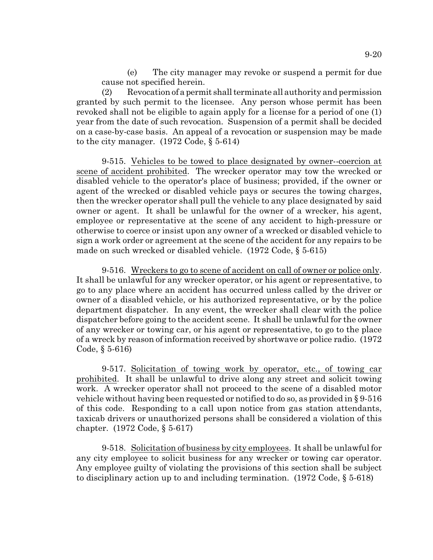(e) The city manager may revoke or suspend a permit for due cause not specified herein.

(2) Revocation of a permit shall terminate all authority and permission granted by such permit to the licensee. Any person whose permit has been revoked shall not be eligible to again apply for a license for a period of one (1) year from the date of such revocation. Suspension of a permit shall be decided on a case-by-case basis. An appeal of a revocation or suspension may be made to the city manager. (1972 Code, § 5-614)

9-515. Vehicles to be towed to place designated by owner--coercion at scene of accident prohibited. The wrecker operator may tow the wrecked or disabled vehicle to the operator's place of business; provided, if the owner or agent of the wrecked or disabled vehicle pays or secures the towing charges, then the wrecker operator shall pull the vehicle to any place designated by said owner or agent. It shall be unlawful for the owner of a wrecker, his agent, employee or representative at the scene of any accident to high-pressure or otherwise to coerce or insist upon any owner of a wrecked or disabled vehicle to sign a work order or agreement at the scene of the accident for any repairs to be made on such wrecked or disabled vehicle. (1972 Code, § 5-615)

9-516. Wreckers to go to scene of accident on call of owner or police only. It shall be unlawful for any wrecker operator, or his agent or representative, to go to any place where an accident has occurred unless called by the driver or owner of a disabled vehicle, or his authorized representative, or by the police department dispatcher. In any event, the wrecker shall clear with the police dispatcher before going to the accident scene. It shall be unlawful for the owner of any wrecker or towing car, or his agent or representative, to go to the place of a wreck by reason of information received by shortwave or police radio. (1972 Code, § 5-616)

9-517. Solicitation of towing work by operator, etc., of towing car prohibited. It shall be unlawful to drive along any street and solicit towing work. A wrecker operator shall not proceed to the scene of a disabled motor vehicle without having been requested or notified to do so, as provided in § 9-516 of this code. Responding to a call upon notice from gas station attendants, taxicab drivers or unauthorized persons shall be considered a violation of this chapter. (1972 Code, § 5-617)

9-518. Solicitation of business by city employees. It shall be unlawful for any city employee to solicit business for any wrecker or towing car operator. Any employee guilty of violating the provisions of this section shall be subject to disciplinary action up to and including termination. (1972 Code, § 5-618)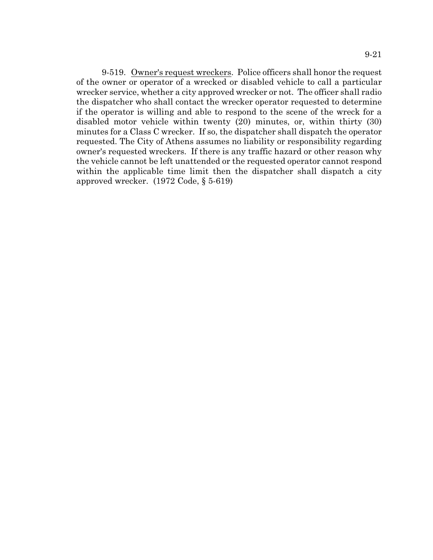9-519. Owner's request wreckers. Police officers shall honor the request of the owner or operator of a wrecked or disabled vehicle to call a particular wrecker service, whether a city approved wrecker or not. The officer shall radio the dispatcher who shall contact the wrecker operator requested to determine if the operator is willing and able to respond to the scene of the wreck for a disabled motor vehicle within twenty (20) minutes, or, within thirty (30) minutes for a Class C wrecker. If so, the dispatcher shall dispatch the operator requested. The City of Athens assumes no liability or responsibility regarding owner's requested wreckers. If there is any traffic hazard or other reason why the vehicle cannot be left unattended or the requested operator cannot respond within the applicable time limit then the dispatcher shall dispatch a city approved wrecker. (1972 Code, § 5-619)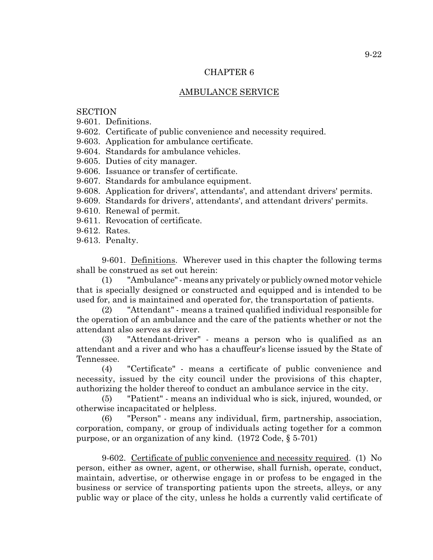# CHAPTER 6

# AMBULANCE SERVICE

# **SECTION**

9-601. Definitions.

9-602. Certificate of public convenience and necessity required.

9-603. Application for ambulance certificate.

9-604. Standards for ambulance vehicles.

9-605. Duties of city manager.

9-606. Issuance or transfer of certificate.

9-607. Standards for ambulance equipment.

9-608. Application for drivers', attendants', and attendant drivers' permits.

9-609. Standards for drivers', attendants', and attendant drivers' permits.

9-610. Renewal of permit.

9-611. Revocation of certificate.

9-612. Rates.

9-613. Penalty.

9-601. Definitions. Wherever used in this chapter the following terms shall be construed as set out herein:

(1) "Ambulance" - means any privately or publicly owned motor vehicle that is specially designed or constructed and equipped and is intended to be used for, and is maintained and operated for, the transportation of patients.

(2) "Attendant" - means a trained qualified individual responsible for the operation of an ambulance and the care of the patients whether or not the attendant also serves as driver.

(3) "Attendant-driver" - means a person who is qualified as an attendant and a river and who has a chauffeur's license issued by the State of Tennessee.

(4) "Certificate" - means a certificate of public convenience and necessity, issued by the city council under the provisions of this chapter, authorizing the holder thereof to conduct an ambulance service in the city.

(5) "Patient" - means an individual who is sick, injured, wounded, or otherwise incapacitated or helpless.

(6) "Person" - means any individual, firm, partnership, association, corporation, company, or group of individuals acting together for a common purpose, or an organization of any kind. (1972 Code, § 5-701)

9-602. Certificate of public convenience and necessity required. (1) No person, either as owner, agent, or otherwise, shall furnish, operate, conduct, maintain, advertise, or otherwise engage in or profess to be engaged in the business or service of transporting patients upon the streets, alleys, or any public way or place of the city, unless he holds a currently valid certificate of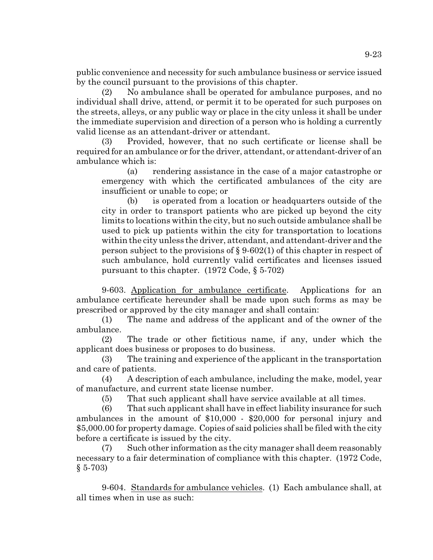public convenience and necessity for such ambulance business or service issued by the council pursuant to the provisions of this chapter.

(2) No ambulance shall be operated for ambulance purposes, and no individual shall drive, attend, or permit it to be operated for such purposes on the streets, alleys, or any public way or place in the city unless it shall be under the immediate supervision and direction of a person who is holding a currently valid license as an attendant-driver or attendant.

(3) Provided, however, that no such certificate or license shall be required for an ambulance or for the driver, attendant, or attendant-driver of an ambulance which is:

(a) rendering assistance in the case of a major catastrophe or emergency with which the certificated ambulances of the city are insufficient or unable to cope; or

(b) is operated from a location or headquarters outside of the city in order to transport patients who are picked up beyond the city limits to locations within the city, but no such outside ambulance shall be used to pick up patients within the city for transportation to locations within the city unless the driver, attendant, and attendant-driver and the person subject to the provisions of § 9-602(1) of this chapter in respect of such ambulance, hold currently valid certificates and licenses issued pursuant to this chapter. (1972 Code, § 5-702)

9-603. Application for ambulance certificate. Applications for an ambulance certificate hereunder shall be made upon such forms as may be prescribed or approved by the city manager and shall contain:

(1) The name and address of the applicant and of the owner of the ambulance.

(2) The trade or other fictitious name, if any, under which the applicant does business or proposes to do business.

(3) The training and experience of the applicant in the transportation and care of patients.

(4) A description of each ambulance, including the make, model, year of manufacture, and current state license number.

(5) That such applicant shall have service available at all times.

(6) That such applicant shall have in effect liability insurance for such ambulances in the amount of \$10,000 - \$20,000 for personal injury and \$5,000.00 for property damage. Copies of said policies shall be filed with the city before a certificate is issued by the city.

(7) Such other information as the city manager shall deem reasonably necessary to a fair determination of compliance with this chapter. (1972 Code,  $§ 5-703)$ 

9-604. Standards for ambulance vehicles. (1) Each ambulance shall, at all times when in use as such: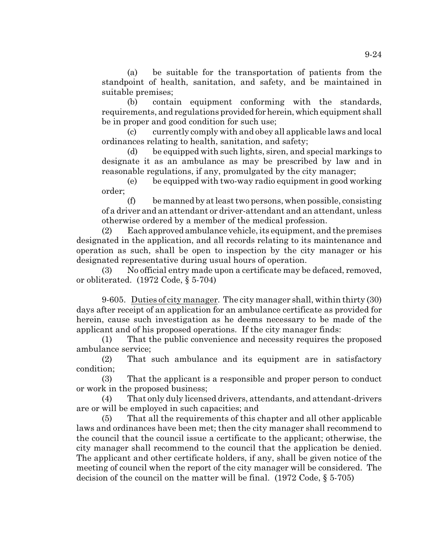(a) be suitable for the transportation of patients from the standpoint of health, sanitation, and safety, and be maintained in suitable premises;

(b) contain equipment conforming with the standards, requirements, and regulations provided for herein, which equipment shall be in proper and good condition for such use;

(c) currently comply with and obey all applicable laws and local ordinances relating to health, sanitation, and safety;

(d) be equipped with such lights, siren, and special markings to designate it as an ambulance as may be prescribed by law and in reasonable regulations, if any, promulgated by the city manager;

(e) be equipped with two-way radio equipment in good working order;

 $(f)$  be manned by at least two persons, when possible, consisting of a driver and an attendant or driver-attendant and an attendant, unless otherwise ordered by a member of the medical profession.

(2) Each approved ambulance vehicle, its equipment, and the premises designated in the application, and all records relating to its maintenance and operation as such, shall be open to inspection by the city manager or his designated representative during usual hours of operation.

(3) No official entry made upon a certificate may be defaced, removed, or obliterated. (1972 Code, § 5-704)

9-605. Duties of city manager. The city manager shall, within thirty (30) days after receipt of an application for an ambulance certificate as provided for herein, cause such investigation as he deems necessary to be made of the applicant and of his proposed operations. If the city manager finds:

(1) That the public convenience and necessity requires the proposed ambulance service;

(2) That such ambulance and its equipment are in satisfactory condition;

(3) That the applicant is a responsible and proper person to conduct or work in the proposed business;

(4) That only duly licensed drivers, attendants, and attendant-drivers are or will be employed in such capacities; and

(5) That all the requirements of this chapter and all other applicable laws and ordinances have been met; then the city manager shall recommend to the council that the council issue a certificate to the applicant; otherwise, the city manager shall recommend to the council that the application be denied. The applicant and other certificate holders, if any, shall be given notice of the meeting of council when the report of the city manager will be considered. The decision of the council on the matter will be final.  $(1972 \text{ Code}, \S 5-705)$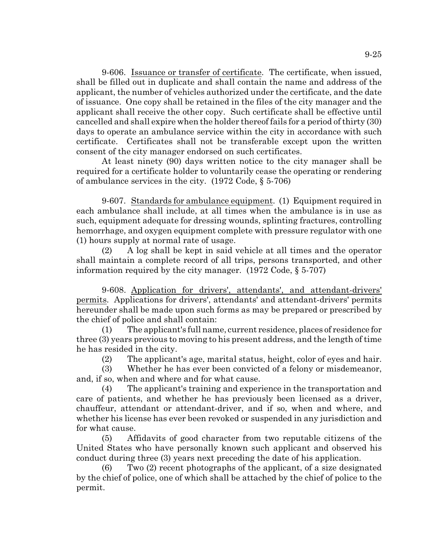9-606. Issuance or transfer of certificate. The certificate, when issued, shall be filled out in duplicate and shall contain the name and address of the applicant, the number of vehicles authorized under the certificate, and the date of issuance. One copy shall be retained in the files of the city manager and the applicant shall receive the other copy. Such certificate shall be effective until cancelled and shall expire when the holder thereof fails for a period of thirty (30) days to operate an ambulance service within the city in accordance with such certificate. Certificates shall not be transferable except upon the written consent of the city manager endorsed on such certificates.

At least ninety (90) days written notice to the city manager shall be required for a certificate holder to voluntarily cease the operating or rendering of ambulance services in the city. (1972 Code, § 5-706)

9-607. Standards for ambulance equipment. (1) Equipment required in each ambulance shall include, at all times when the ambulance is in use as such, equipment adequate for dressing wounds, splinting fractures, controlling hemorrhage, and oxygen equipment complete with pressure regulator with one (1) hours supply at normal rate of usage.

(2) A log shall be kept in said vehicle at all times and the operator shall maintain a complete record of all trips, persons transported, and other information required by the city manager. (1972 Code, § 5-707)

9-608. Application for drivers', attendants', and attendant-drivers' permits. Applications for drivers', attendants' and attendant-drivers' permits hereunder shall be made upon such forms as may be prepared or prescribed by the chief of police and shall contain:

(1) The applicant's full name, current residence, places of residence for three (3) years previous to moving to his present address, and the length of time he has resided in the city.

(2) The applicant's age, marital status, height, color of eyes and hair.

(3) Whether he has ever been convicted of a felony or misdemeanor, and, if so, when and where and for what cause.

(4) The applicant's training and experience in the transportation and care of patients, and whether he has previously been licensed as a driver, chauffeur, attendant or attendant-driver, and if so, when and where, and whether his license has ever been revoked or suspended in any jurisdiction and for what cause.

(5) Affidavits of good character from two reputable citizens of the United States who have personally known such applicant and observed his conduct during three (3) years next preceding the date of his application.

(6) Two (2) recent photographs of the applicant, of a size designated by the chief of police, one of which shall be attached by the chief of police to the permit.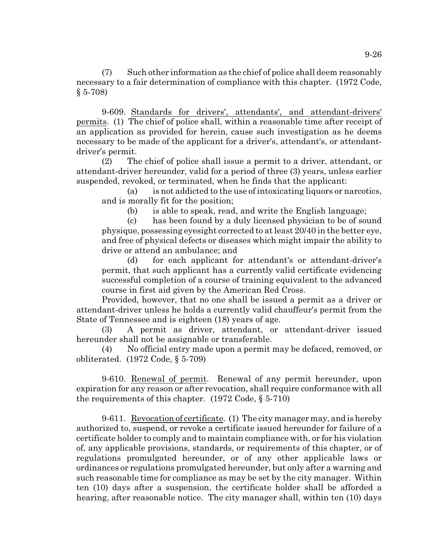(7) Such other information as the chief of police shall deem reasonably necessary to a fair determination of compliance with this chapter. (1972 Code, § 5-708)

9-609. Standards for drivers', attendants', and attendant-drivers' permits. (1) The chief of police shall, within a reasonable time after receipt of an application as provided for herein, cause such investigation as he deems necessary to be made of the applicant for a driver's, attendant's, or attendantdriver's permit.

(2) The chief of police shall issue a permit to a driver, attendant, or attendant-driver hereunder, valid for a period of three (3) years, unless earlier suspended, revoked, or terminated, when he finds that the applicant:

(a) is not addicted to the use of intoxicating liquors or narcotics, and is morally fit for the position;

(b) is able to speak, read, and write the English language;

(c) has been found by a duly licensed physician to be of sound physique, possessing eyesight corrected to at least 20/40 in the better eye, and free of physical defects or diseases which might impair the ability to drive or attend an ambulance; and

(d) for each applicant for attendant's or attendant-driver's permit, that such applicant has a currently valid certificate evidencing successful completion of a course of training equivalent to the advanced course in first aid given by the American Red Cross.

Provided, however, that no one shall be issued a permit as a driver or attendant-driver unless he holds a currently valid chauffeur's permit from the State of Tennessee and is eighteen (18) years of age.

(3) A permit as driver, attendant, or attendant-driver issued hereunder shall not be assignable or transferable.

(4) No official entry made upon a permit may be defaced, removed, or obliterated. (1972 Code, § 5-709)

9-610. Renewal of permit. Renewal of any permit hereunder, upon expiration for any reason or after revocation, shall require conformance with all the requirements of this chapter. (1972 Code, § 5-710)

9-611. Revocation of certificate. (1) The city manager may, and is hereby authorized to, suspend, or revoke a certificate issued hereunder for failure of a certificate holder to comply and to maintain compliance with, or for his violation of, any applicable provisions, standards, or requirements of this chapter, or of regulations promulgated hereunder, or of any other applicable laws or ordinances or regulations promulgated hereunder, but only after a warning and such reasonable time for compliance as may be set by the city manager. Within ten (10) days after a suspension, the certificate holder shall be afforded a hearing, after reasonable notice. The city manager shall, within ten (10) days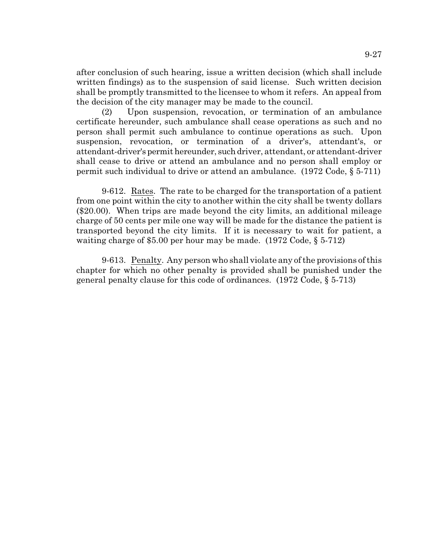after conclusion of such hearing, issue a written decision (which shall include written findings) as to the suspension of said license. Such written decision shall be promptly transmitted to the licensee to whom it refers. An appeal from the decision of the city manager may be made to the council.

(2) Upon suspension, revocation, or termination of an ambulance certificate hereunder, such ambulance shall cease operations as such and no person shall permit such ambulance to continue operations as such. Upon suspension, revocation, or termination of a driver's, attendant's, or attendant-driver's permit hereunder, such driver, attendant, or attendant-driver shall cease to drive or attend an ambulance and no person shall employ or permit such individual to drive or attend an ambulance. (1972 Code, § 5-711)

9-612. Rates. The rate to be charged for the transportation of a patient from one point within the city to another within the city shall be twenty dollars (\$20.00). When trips are made beyond the city limits, an additional mileage charge of 50 cents per mile one way will be made for the distance the patient is transported beyond the city limits. If it is necessary to wait for patient, a waiting charge of \$5.00 per hour may be made. (1972 Code, § 5-712)

9-613. Penalty. Any person who shall violate any of the provisions of this chapter for which no other penalty is provided shall be punished under the general penalty clause for this code of ordinances. (1972 Code, § 5-713)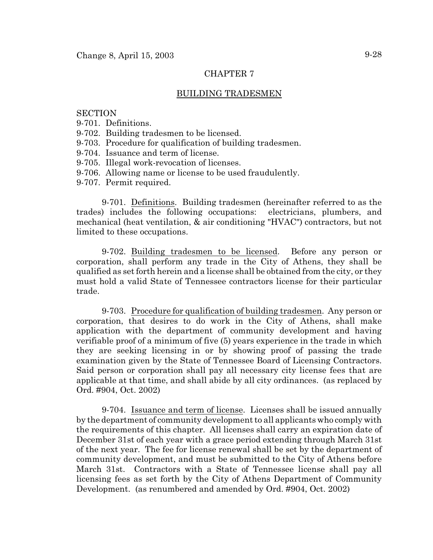# CHAPTER 7

## BUILDING TRADESMEN

### **SECTION**

- 9-701. Definitions.
- 9-702. Building tradesmen to be licensed.
- 9-703. Procedure for qualification of building tradesmen.
- 9-704. Issuance and term of license.
- 9-705. Illegal work-revocation of licenses.
- 9-706. Allowing name or license to be used fraudulently.
- 9-707. Permit required.

9-701. Definitions. Building tradesmen (hereinafter referred to as the trades) includes the following occupations: electricians, plumbers, and mechanical (heat ventilation, & air conditioning "HVAC") contractors, but not limited to these occupations.

9-702. Building tradesmen to be licensed. Before any person or corporation, shall perform any trade in the City of Athens, they shall be qualified as set forth herein and a license shall be obtained from the city, or they must hold a valid State of Tennessee contractors license for their particular trade.

9-703. Procedure for qualification of building tradesmen. Any person or corporation, that desires to do work in the City of Athens, shall make application with the department of community development and having verifiable proof of a minimum of five (5) years experience in the trade in which they are seeking licensing in or by showing proof of passing the trade examination given by the State of Tennessee Board of Licensing Contractors. Said person or corporation shall pay all necessary city license fees that are applicable at that time, and shall abide by all city ordinances. (as replaced by Ord. #904, Oct. 2002)

9-704. Issuance and term of license. Licenses shall be issued annually by the department of community development to all applicants who comply with the requirements of this chapter. All licenses shall carry an expiration date of December 31st of each year with a grace period extending through March 31st of the next year. The fee for license renewal shall be set by the department of community development, and must be submitted to the City of Athens before March 31st. Contractors with a State of Tennessee license shall pay all licensing fees as set forth by the City of Athens Department of Community Development. (as renumbered and amended by Ord. #904, Oct. 2002)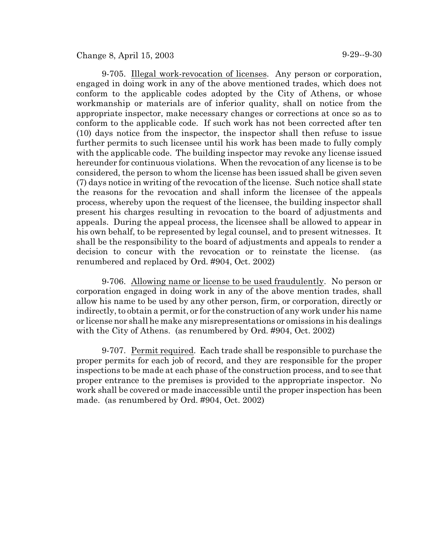# Change 8, April 15, 2003 9-29--9-30

9-705. Illegal work-revocation of licenses. Any person or corporation, engaged in doing work in any of the above mentioned trades, which does not conform to the applicable codes adopted by the City of Athens, or whose workmanship or materials are of inferior quality, shall on notice from the appropriate inspector, make necessary changes or corrections at once so as to conform to the applicable code. If such work has not been corrected after ten (10) days notice from the inspector, the inspector shall then refuse to issue further permits to such licensee until his work has been made to fully comply with the applicable code. The building inspector may revoke any license issued hereunder for continuous violations. When the revocation of any license is to be considered, the person to whom the license has been issued shall be given seven (7) days notice in writing of the revocation of the license. Such notice shall state the reasons for the revocation and shall inform the licensee of the appeals process, whereby upon the request of the licensee, the building inspector shall present his charges resulting in revocation to the board of adjustments and appeals. During the appeal process, the licensee shall be allowed to appear in his own behalf, to be represented by legal counsel, and to present witnesses. It shall be the responsibility to the board of adjustments and appeals to render a decision to concur with the revocation or to reinstate the license. (as renumbered and replaced by Ord. #904, Oct. 2002)

9-706. Allowing name or license to be used fraudulently. No person or corporation engaged in doing work in any of the above mention trades, shall allow his name to be used by any other person, firm, or corporation, directly or indirectly, to obtain a permit, or for the construction of any work under his name or license nor shall he make any misrepresentations or omissions in his dealings with the City of Athens. (as renumbered by Ord. #904, Oct. 2002)

9-707. Permit required. Each trade shall be responsible to purchase the proper permits for each job of record, and they are responsible for the proper inspections to be made at each phase of the construction process, and to see that proper entrance to the premises is provided to the appropriate inspector. No work shall be covered or made inaccessible until the proper inspection has been made. (as renumbered by Ord. #904, Oct. 2002)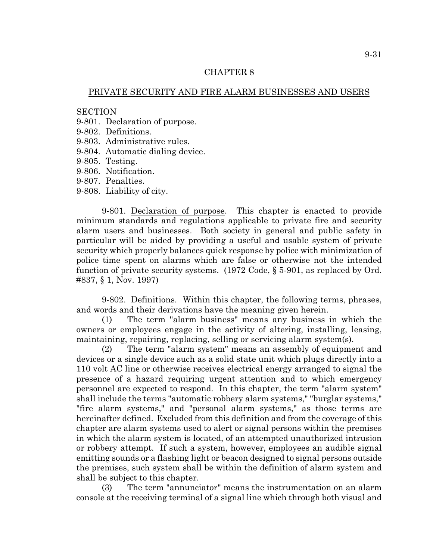### CHAPTER 8

### PRIVATE SECURITY AND FIRE ALARM BUSINESSES AND USERS

#### **SECTION**

- 9-801. Declaration of purpose.
- 9-802. Definitions.
- 9-803. Administrative rules.
- 9-804. Automatic dialing device.
- 9-805. Testing.
- 9-806. Notification.
- 9-807. Penalties.
- 9-808. Liability of city.

9-801. Declaration of purpose. This chapter is enacted to provide minimum standards and regulations applicable to private fire and security alarm users and businesses. Both society in general and public safety in particular will be aided by providing a useful and usable system of private security which properly balances quick response by police with minimization of police time spent on alarms which are false or otherwise not the intended function of private security systems. (1972 Code, § 5-901, as replaced by Ord. #837, § 1, Nov. 1997)

9-802. Definitions. Within this chapter, the following terms, phrases, and words and their derivations have the meaning given herein.

(1) The term "alarm business" means any business in which the owners or employees engage in the activity of altering, installing, leasing, maintaining, repairing, replacing, selling or servicing alarm system(s).

(2) The term "alarm system" means an assembly of equipment and devices or a single device such as a solid state unit which plugs directly into a 110 volt AC line or otherwise receives electrical energy arranged to signal the presence of a hazard requiring urgent attention and to which emergency personnel are expected to respond. In this chapter, the term "alarm system" shall include the terms "automatic robbery alarm systems," "burglar systems," "fire alarm systems," and "personal alarm systems," as those terms are hereinafter defined. Excluded from this definition and from the coverage of this chapter are alarm systems used to alert or signal persons within the premises in which the alarm system is located, of an attempted unauthorized intrusion or robbery attempt. If such a system, however, employees an audible signal emitting sounds or a flashing light or beacon designed to signal persons outside the premises, such system shall be within the definition of alarm system and shall be subject to this chapter.

(3) The term "annunciator" means the instrumentation on an alarm console at the receiving terminal of a signal line which through both visual and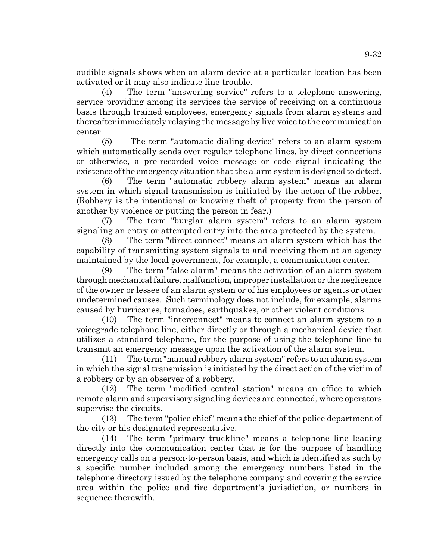audible signals shows when an alarm device at a particular location has been activated or it may also indicate line trouble.

(4) The term "answering service" refers to a telephone answering, service providing among its services the service of receiving on a continuous basis through trained employees, emergency signals from alarm systems and thereafter immediately relaying the message by live voice to the communication center.

(5) The term "automatic dialing device" refers to an alarm system which automatically sends over regular telephone lines, by direct connections or otherwise, a pre-recorded voice message or code signal indicating the existence ofthe emergency situation that the alarm system is designed to detect.

(6) The term "automatic robbery alarm system" means an alarm system in which signal transmission is initiated by the action of the robber. (Robbery is the intentional or knowing theft of property from the person of another by violence or putting the person in fear.)

(7) The term "burglar alarm system" refers to an alarm system signaling an entry or attempted entry into the area protected by the system.

(8) The term "direct connect" means an alarm system which has the capability of transmitting system signals to and receiving them at an agency maintained by the local government, for example, a communication center.

(9) The term "false alarm" means the activation of an alarm system through mechanical failure, malfunction, improper installation or the negligence of the owner or lessee of an alarm system or of his employees or agents or other undetermined causes. Such terminology does not include, for example, alarms caused by hurricanes, tornadoes, earthquakes, or other violent conditions.

(10) The term "interconnect" means to connect an alarm system to a voicegrade telephone line, either directly or through a mechanical device that utilizes a standard telephone, for the purpose of using the telephone line to transmit an emergency message upon the activation of the alarm system.

(11) The term "manual robbery alarm system" refers to an alarm system in which the signal transmission is initiated by the direct action of the victim of a robbery or by an observer of a robbery.

(12) The term "modified central station" means an office to which remote alarm and supervisory signaling devices are connected, where operators supervise the circuits.

(13) The term "police chief" means the chief of the police department of the city or his designated representative.

(14) The term "primary truckline" means a telephone line leading directly into the communication center that is for the purpose of handling emergency calls on a person-to-person basis, and which is identified as such by a specific number included among the emergency numbers listed in the telephone directory issued by the telephone company and covering the service area within the police and fire department's jurisdiction, or numbers in sequence therewith.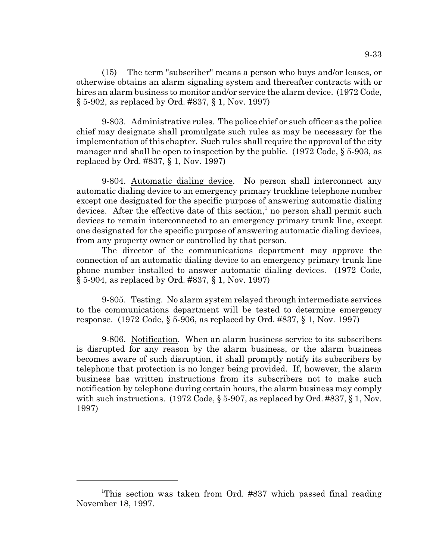(15) The term "subscriber" means a person who buys and/or leases, or otherwise obtains an alarm signaling system and thereafter contracts with or hires an alarm business to monitor and/or service the alarm device. (1972 Code, § 5-902, as replaced by Ord. #837, § 1, Nov. 1997)

9-803. Administrative rules. The police chief or such officer as the police chief may designate shall promulgate such rules as may be necessary for the implementation of this chapter. Such rules shall require the approval of the city manager and shall be open to inspection by the public. (1972 Code, § 5-903, as replaced by Ord. #837, § 1, Nov. 1997)

9-804. Automatic dialing device. No person shall interconnect any automatic dialing device to an emergency primary truckline telephone number except one designated for the specific purpose of answering automatic dialing devices. After the effective date of this section,<sup>1</sup> no person shall permit such devices to remain interconnected to an emergency primary trunk line, except one designated for the specific purpose of answering automatic dialing devices, from any property owner or controlled by that person.

The director of the communications department may approve the connection of an automatic dialing device to an emergency primary trunk line phone number installed to answer automatic dialing devices. (1972 Code, § 5-904, as replaced by Ord. #837, § 1, Nov. 1997)

9-805. Testing. No alarm system relayed through intermediate services to the communications department will be tested to determine emergency response. (1972 Code, § 5-906, as replaced by Ord. #837, § 1, Nov. 1997)

9-806. Notification. When an alarm business service to its subscribers is disrupted for any reason by the alarm business, or the alarm business becomes aware of such disruption, it shall promptly notify its subscribers by telephone that protection is no longer being provided. If, however, the alarm business has written instructions from its subscribers not to make such notification by telephone during certain hours, the alarm business may comply with such instructions. (1972 Code, § 5-907, as replaced by Ord. #837, § 1, Nov. 1997)

<sup>&</sup>lt;sup>1</sup>This section was taken from Ord. #837 which passed final reading November 18, 1997.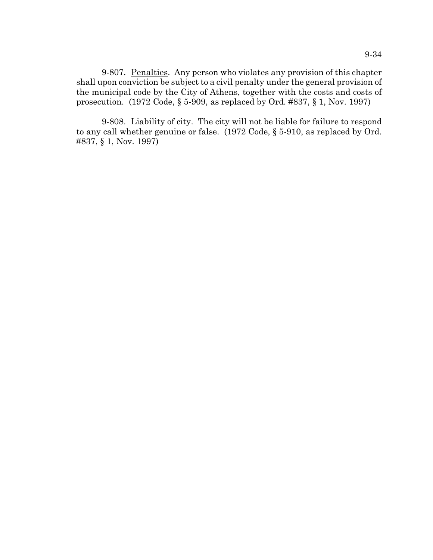9-807. Penalties. Any person who violates any provision of this chapter shall upon conviction be subject to a civil penalty under the general provision of the municipal code by the City of Athens, together with the costs and costs of prosecution. (1972 Code, § 5-909, as replaced by Ord. #837, § 1, Nov. 1997)

9-808. Liability of city. The city will not be liable for failure to respond to any call whether genuine or false. (1972 Code, § 5-910, as replaced by Ord. #837, § 1, Nov. 1997)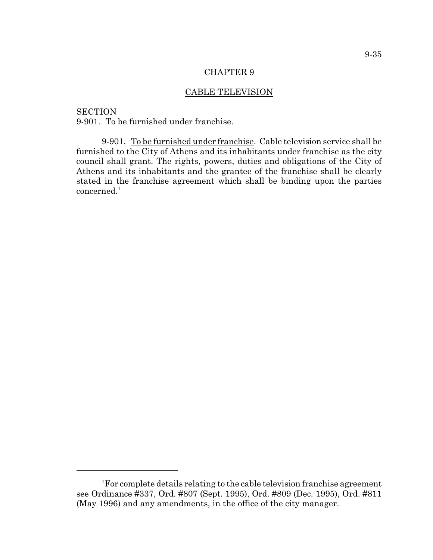#### CHAPTER 9

# CABLE TELEVISION

**SECTION** 9-901. To be furnished under franchise.

9-901. To be furnished under franchise. Cable television service shall be furnished to the City of Athens and its inhabitants under franchise as the city council shall grant. The rights, powers, duties and obligations of the City of Athens and its inhabitants and the grantee of the franchise shall be clearly stated in the franchise agreement which shall be binding upon the parties  $\rm{concerned.}^1$ 

<sup>&</sup>lt;sup>1</sup>For complete details relating to the cable television franchise agreement see Ordinance #337, Ord. #807 (Sept. 1995), Ord. #809 (Dec. 1995), Ord. #811 (May 1996) and any amendments, in the office of the city manager.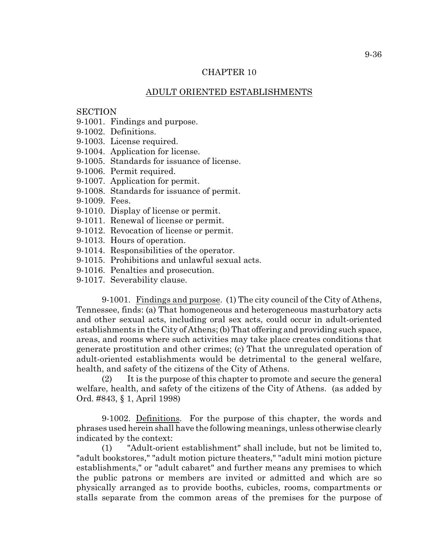## CHAPTER 10

## ADULT ORIENTED ESTABLISHMENTS

### **SECTION**

9-1001. Findings and purpose.

9-1002. Definitions.

9-1003. License required.

9-1004. Application for license.

9-1005. Standards for issuance of license.

9-1006. Permit required.

9-1007. Application for permit.

9-1008. Standards for issuance of permit.

9-1009. Fees.

9-1010. Display of license or permit.

9-1011. Renewal of license or permit.

9-1012. Revocation of license or permit.

9-1013. Hours of operation.

9-1014. Responsibilities of the operator.

9-1015. Prohibitions and unlawful sexual acts.

9-1016. Penalties and prosecution.

9-1017. Severability clause.

9-1001. Findings and purpose. (1) The city council of the City of Athens, Tennessee, finds: (a) That homogeneous and heterogeneous masturbatory acts and other sexual acts, including oral sex acts, could occur in adult-oriented establishments in the City of Athens; (b) That offering and providing such space, areas, and rooms where such activities may take place creates conditions that generate prostitution and other crimes; (c) That the unregulated operation of adult-oriented establishments would be detrimental to the general welfare, health, and safety of the citizens of the City of Athens.

(2) It is the purpose of this chapter to promote and secure the general welfare, health, and safety of the citizens of the City of Athens. (as added by Ord. #843, § 1, April 1998)

9-1002. Definitions. For the purpose of this chapter, the words and phrases used herein shall have the following meanings, unless otherwise clearly indicated by the context:

(1) "Adult-orient establishment" shall include, but not be limited to, "adult bookstores," "adult motion picture theaters," "adult mini motion picture establishments," or "adult cabaret" and further means any premises to which the public patrons or members are invited or admitted and which are so physically arranged as to provide booths, cubicles, rooms, compartments or stalls separate from the common areas of the premises for the purpose of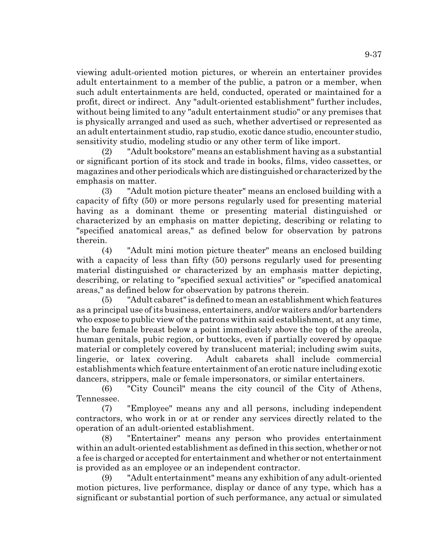viewing adult-oriented motion pictures, or wherein an entertainer provides adult entertainment to a member of the public, a patron or a member, when such adult entertainments are held, conducted, operated or maintained for a profit, direct or indirect. Any "adult-oriented establishment" further includes, without being limited to any "adult entertainment studio" or any premises that is physically arranged and used as such, whether advertised or represented as an adult entertainment studio, rap studio, exotic dance studio, encounter studio, sensitivity studio, modeling studio or any other term of like import.

(2) "Adult bookstore" means an establishment having as a substantial or significant portion of its stock and trade in books, films, video cassettes, or magazines and other periodicals which are distinguished or characterized by the emphasis on matter.

(3) "Adult motion picture theater" means an enclosed building with a capacity of fifty (50) or more persons regularly used for presenting material having as a dominant theme or presenting material distinguished or characterized by an emphasis on matter depicting, describing or relating to "specified anatomical areas," as defined below for observation by patrons therein.

(4) "Adult mini motion picture theater" means an enclosed building with a capacity of less than fifty (50) persons regularly used for presenting material distinguished or characterized by an emphasis matter depicting, describing, or relating to "specified sexual activities" or "specified anatomical areas," as defined below for observation by patrons therein.

(5) "Adult cabaret" is defined to mean an establishment which features as a principal use of its business, entertainers, and/or waiters and/or bartenders who expose to public view of the patrons within said establishment, at any time, the bare female breast below a point immediately above the top of the areola, human genitals, pubic region, or buttocks, even if partially covered by opaque material or completely covered by translucent material; including swim suits, lingerie, or latex covering. Adult cabarets shall include commercial establishments which feature entertainment of an erotic nature including exotic dancers, strippers, male or female impersonators, or similar entertainers.

(6) "City Council" means the city council of the City of Athens, Tennessee.

(7) "Employee" means any and all persons, including independent contractors, who work in or at or render any services directly related to the operation of an adult-oriented establishment.

(8) "Entertainer" means any person who provides entertainment within an adult-oriented establishment as defined in this section, whether or not a fee is charged or accepted for entertainment and whether or not entertainment is provided as an employee or an independent contractor.

(9) "Adult entertainment" means any exhibition of any adult-oriented motion pictures, live performance, display or dance of any type, which has a significant or substantial portion of such performance, any actual or simulated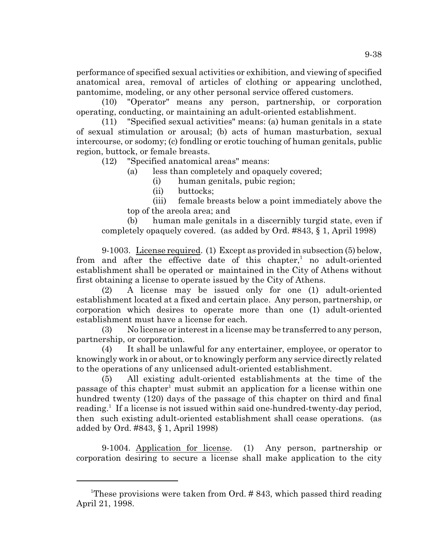performance of specified sexual activities or exhibition, and viewing of specified anatomical area, removal of articles of clothing or appearing unclothed, pantomime, modeling, or any other personal service offered customers.

(10) "Operator" means any person, partnership, or corporation operating, conducting, or maintaining an adult-oriented establishment.

(11) "Specified sexual activities" means: (a) human genitals in a state of sexual stimulation or arousal; (b) acts of human masturbation, sexual intercourse, or sodomy; (c) fondling or erotic touching of human genitals, public region, buttock, or female breasts.

(12) "Specified anatomical areas" means:

(a) less than completely and opaquely covered;

(i) human genitals, pubic region;

(ii) buttocks;

(iii) female breasts below a point immediately above the top of the areola area; and

(b) human male genitals in a discernibly turgid state, even if completely opaquely covered. (as added by Ord. #843, § 1, April 1998)

9-1003. License required. (1) Except as provided in subsection (5) below, from and after the effective date of this chapter,<sup>1</sup> no adult-oriented establishment shall be operated or maintained in the City of Athens without first obtaining a license to operate issued by the City of Athens.

(2) A license may be issued only for one (1) adult-oriented establishment located at a fixed and certain place. Any person, partnership, or corporation which desires to operate more than one (1) adult-oriented establishment must have a license for each.

(3) No license or interest in a license may be transferred to any person, partnership, or corporation.

(4) It shall be unlawful for any entertainer, employee, or operator to knowingly work in or about, or to knowingly perform any service directly related to the operations of any unlicensed adult-oriented establishment.

(5) All existing adult-oriented establishments at the time of the passage of this chapter<sup>1</sup> must submit an application for a license within one hundred twenty (120) days of the passage of this chapter on third and final reading.<sup>1</sup> If a license is not issued within said one-hundred-twenty-day period, then such existing adult-oriented establishment shall cease operations. (as added by Ord. #843, § 1, April 1998)

9-1004. Application for license. (1) Any person, partnership or corporation desiring to secure a license shall make application to the city

<sup>&</sup>lt;sup>1</sup>These provisions were taken from Ord.  $\#$  843, which passed third reading April 21, 1998.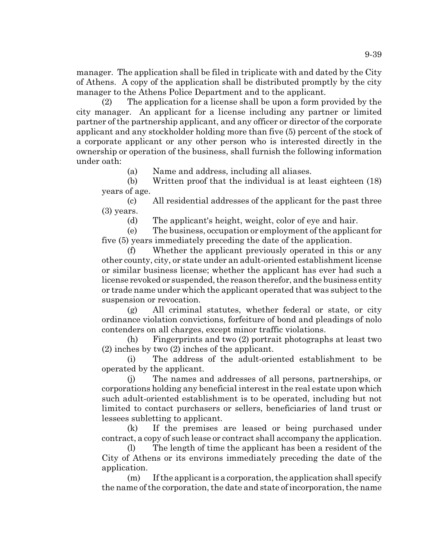manager. The application shall be filed in triplicate with and dated by the City of Athens. A copy of the application shall be distributed promptly by the city manager to the Athens Police Department and to the applicant.

(2) The application for a license shall be upon a form provided by the city manager. An applicant for a license including any partner or limited partner of the partnership applicant, and any officer or director of the corporate applicant and any stockholder holding more than five (5) percent of the stock of a corporate applicant or any other person who is interested directly in the ownership or operation of the business, shall furnish the following information under oath:

(a) Name and address, including all aliases.

(b) Written proof that the individual is at least eighteen (18) years of age.

(c) All residential addresses of the applicant for the past three (3) years.

(d) The applicant's height, weight, color of eye and hair.

(e) The business, occupation or employment of the applicant for five (5) years immediately preceding the date of the application.

(f) Whether the applicant previously operated in this or any other county, city, or state under an adult-oriented establishment license or similar business license; whether the applicant has ever had such a license revoked or suspended, the reason therefor, and the business entity or trade name under which the applicant operated that was subject to the suspension or revocation.

(g) All criminal statutes, whether federal or state, or city ordinance violation convictions, forfeiture of bond and pleadings of nolo contenders on all charges, except minor traffic violations.

(h) Fingerprints and two (2) portrait photographs at least two (2) inches by two (2) inches of the applicant.

(i) The address of the adult-oriented establishment to be operated by the applicant.

(j) The names and addresses of all persons, partnerships, or corporations holding any beneficial interest in the real estate upon which such adult-oriented establishment is to be operated, including but not limited to contact purchasers or sellers, beneficiaries of land trust or lessees subletting to applicant.

(k) If the premises are leased or being purchased under contract, a copy of such lease or contract shall accompany the application.

(l) The length of time the applicant has been a resident of the City of Athens or its environs immediately preceding the date of the application.

(m) If the applicant is a corporation, the application shall specify the name of the corporation, the date and state of incorporation, the name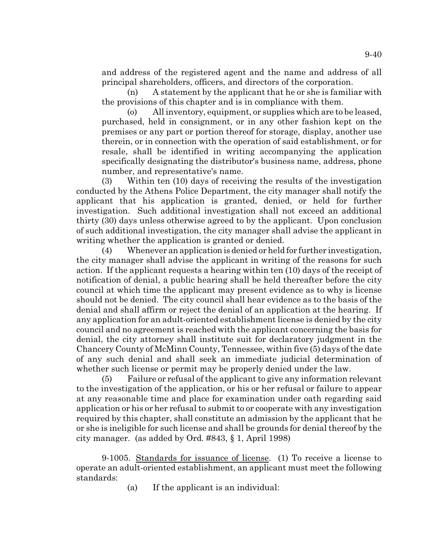and address of the registered agent and the name and address of all principal shareholders, officers, and directors of the corporation.

(n) A statement by the applicant that he or she is familiar with the provisions of this chapter and is in compliance with them.

(o) All inventory, equipment, or supplies which are to be leased, purchased, held in consignment, or in any other fashion kept on the premises or any part or portion thereof for storage, display, another use therein, or in connection with the operation of said establishment, or for resale, shall be identified in writing accompanying the application specifically designating the distributor's business name, address, phone number, and representative's name.

(3) Within ten (10) days of receiving the results of the investigation conducted by the Athens Police Department, the city manager shall notify the applicant that his application is granted, denied, or held for further investigation. Such additional investigation shall not exceed an additional thirty (30) days unless otherwise agreed to by the applicant. Upon conclusion of such additional investigation, the city manager shall advise the applicant in writing whether the application is granted or denied.

(4) Whenever an application is denied or held for further investigation, the city manager shall advise the applicant in writing of the reasons for such action. If the applicant requests a hearing within ten (10) days of the receipt of notification of denial, a public hearing shall be held thereafter before the city council at which time the applicant may present evidence as to why is license should not be denied. The city council shall hear evidence as to the basis of the denial and shall affirm or reject the denial of an application at the hearing. If any application for an adult-oriented establishment license is denied by the city council and no agreement is reached with the applicant concerning the basis for denial, the city attorney shall institute suit for declaratory judgment in the Chancery County of McMinn County, Tennessee, within five (5) days of the date of any such denial and shall seek an immediate judicial determination of whether such license or permit may be properly denied under the law.

(5) Failure or refusal of the applicant to give any information relevant to the investigation of the application, or his or her refusal or failure to appear at any reasonable time and place for examination under oath regarding said application or his or her refusal to submit to or cooperate with any investigation required by this chapter, shall constitute an admission by the applicant that he or she is ineligible for such license and shall be grounds for denial thereof by the city manager. (as added by Ord. #843, § 1, April 1998)

9-1005. Standards for issuance of license. (1) To receive a license to operate an adult-oriented establishment, an applicant must meet the following standards:

(a) If the applicant is an individual: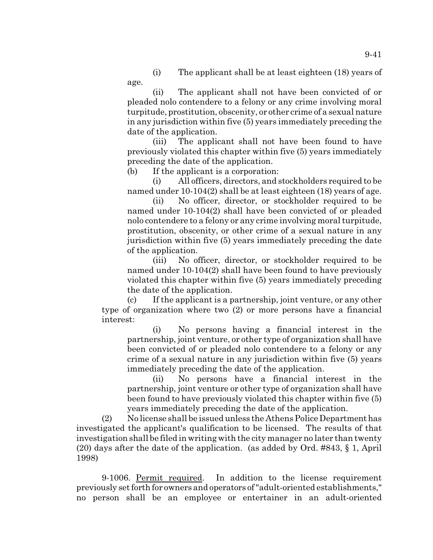(i) The applicant shall be at least eighteen (18) years of age.

(ii) The applicant shall not have been convicted of or pleaded nolo contendere to a felony or any crime involving moral turpitude, prostitution, obscenity, or other crime of a sexual nature in any jurisdiction within five (5) years immediately preceding the date of the application.

(iii) The applicant shall not have been found to have previously violated this chapter within five (5) years immediately preceding the date of the application.

(b) If the applicant is a corporation:

(i) All officers, directors, and stockholders required to be named under 10-104(2) shall be at least eighteen (18) years of age.

(ii) No officer, director, or stockholder required to be named under 10-104(2) shall have been convicted of or pleaded nolo contendere to a felony or any crime involving moral turpitude, prostitution, obscenity, or other crime of a sexual nature in any jurisdiction within five (5) years immediately preceding the date of the application.

(iii) No officer, director, or stockholder required to be named under 10-104(2) shall have been found to have previously violated this chapter within five (5) years immediately preceding the date of the application.

(c) If the applicant is a partnership, joint venture, or any other type of organization where two (2) or more persons have a financial interest:

(i) No persons having a financial interest in the partnership, joint venture, or other type of organization shall have been convicted of or pleaded nolo contendere to a felony or any crime of a sexual nature in any jurisdiction within five (5) years immediately preceding the date of the application.

(ii) No persons have a financial interest in the partnership, joint venture or other type of organization shall have been found to have previously violated this chapter within five (5) years immediately preceding the date of the application.

(2) No license shall be issued unless the Athens Police Department has investigated the applicant's qualification to be licensed. The results of that investigation shall be filed in writing with the city manager no later than twenty (20) days after the date of the application. (as added by Ord. #843, § 1, April 1998)

9-1006. Permit required. In addition to the license requirement previously set forth for owners and operators of "adult-oriented establishments," no person shall be an employee or entertainer in an adult-oriented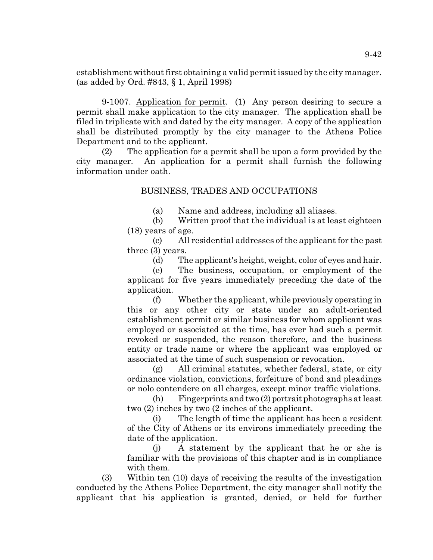establishment without first obtaining a valid permit issued by the city manager. (as added by Ord. #843, § 1, April 1998)

9-1007. Application for permit. (1) Any person desiring to secure a permit shall make application to the city manager. The application shall be filed in triplicate with and dated by the city manager. A copy of the application shall be distributed promptly by the city manager to the Athens Police Department and to the applicant.

(2) The application for a permit shall be upon a form provided by the city manager. An application for a permit shall furnish the following information under oath.

## BUSINESS, TRADES AND OCCUPATIONS

(a) Name and address, including all aliases.

(b) Written proof that the individual is at least eighteen (18) years of age.

(c) All residential addresses of the applicant for the past three (3) years.

(d) The applicant's height, weight, color of eyes and hair.

(e) The business, occupation, or employment of the applicant for five years immediately preceding the date of the application.

(f) Whether the applicant, while previously operating in this or any other city or state under an adult-oriented establishment permit or similar business for whom applicant was employed or associated at the time, has ever had such a permit revoked or suspended, the reason therefore, and the business entity or trade name or where the applicant was employed or associated at the time of such suspension or revocation.

(g) All criminal statutes, whether federal, state, or city ordinance violation, convictions, forfeiture of bond and pleadings or nolo contendere on all charges, except minor traffic violations.

(h) Fingerprints and two (2) portrait photographs at least two (2) inches by two (2 inches of the applicant.

(i) The length of time the applicant has been a resident of the City of Athens or its environs immediately preceding the date of the application.

(j) A statement by the applicant that he or she is familiar with the provisions of this chapter and is in compliance with them.

(3) Within ten (10) days of receiving the results of the investigation conducted by the Athens Police Department, the city manager shall notify the applicant that his application is granted, denied, or held for further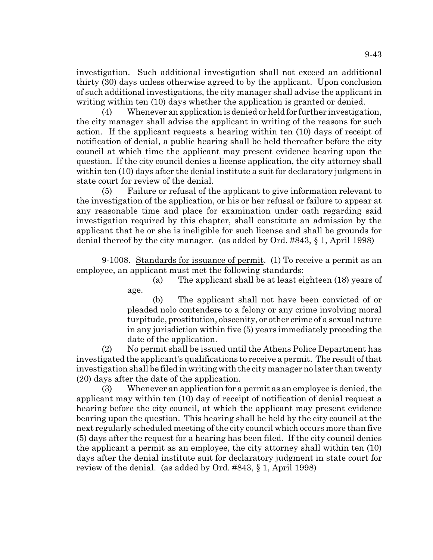investigation. Such additional investigation shall not exceed an additional thirty (30) days unless otherwise agreed to by the applicant. Upon conclusion of such additional investigations, the city manager shall advise the applicant in writing within ten (10) days whether the application is granted or denied.

(4) Whenever an application is denied or held for further investigation, the city manager shall advise the applicant in writing of the reasons for such action. If the applicant requests a hearing within ten (10) days of receipt of notification of denial, a public hearing shall be held thereafter before the city council at which time the applicant may present evidence bearing upon the question. If the city council denies a license application, the city attorney shall within ten (10) days after the denial institute a suit for declaratory judgment in state court for review of the denial.

(5) Failure or refusal of the applicant to give information relevant to the investigation of the application, or his or her refusal or failure to appear at any reasonable time and place for examination under oath regarding said investigation required by this chapter, shall constitute an admission by the applicant that he or she is ineligible for such license and shall be grounds for denial thereof by the city manager. (as added by Ord. #843, § 1, April 1998)

9-1008. Standards for issuance of permit. (1) To receive a permit as an employee, an applicant must met the following standards:

> (a) The applicant shall be at least eighteen (18) years of age.

> (b) The applicant shall not have been convicted of or pleaded nolo contendere to a felony or any crime involving moral turpitude, prostitution, obscenity, or other crime of a sexual nature in any jurisdiction within five (5) years immediately preceding the date of the application.

(2) No permit shall be issued until the Athens Police Department has investigated the applicant's qualifications to receive a permit. The result of that investigation shall be filed in writing with the city manager no later than twenty (20) days after the date of the application.

(3) Whenever an application for a permit as an employee is denied, the applicant may within ten (10) day of receipt of notification of denial request a hearing before the city council, at which the applicant may present evidence bearing upon the question. This hearing shall be held by the city council at the next regularly scheduled meeting of the city council which occurs more than five (5) days after the request for a hearing has been filed. If the city council denies the applicant a permit as an employee, the city attorney shall within ten (10) days after the denial institute suit for declaratory judgment in state court for review of the denial. (as added by Ord. #843, § 1, April 1998)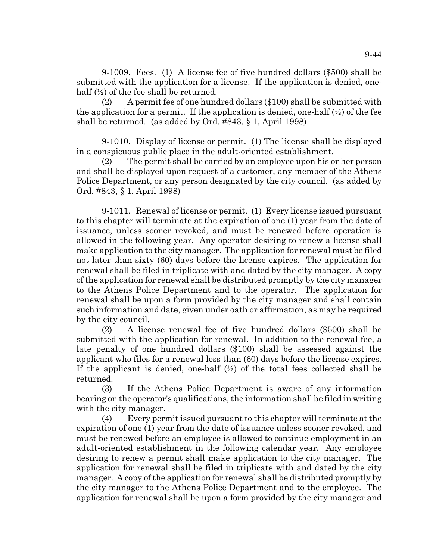9-1009. Fees. (1) A license fee of five hundred dollars (\$500) shall be submitted with the application for a license. If the application is denied, onehalf  $\left(\frac{1}{2}\right)$  of the fee shall be returned.

(2) A permit fee of one hundred dollars (\$100) shall be submitted with the application for a permit. If the application is denied, one-half  $(\frac{1}{2})$  of the fee shall be returned. (as added by Ord. #843, § 1, April 1998)

9-1010. Display of license or permit. (1) The license shall be displayed in a conspicuous public place in the adult-oriented establishment.

(2) The permit shall be carried by an employee upon his or her person and shall be displayed upon request of a customer, any member of the Athens Police Department, or any person designated by the city council. (as added by Ord. #843, § 1, April 1998)

9-1011. Renewal of license or permit. (1) Every license issued pursuant to this chapter will terminate at the expiration of one (1) year from the date of issuance, unless sooner revoked, and must be renewed before operation is allowed in the following year. Any operator desiring to renew a license shall make application to the city manager. The application for renewal must be filed not later than sixty (60) days before the license expires. The application for renewal shall be filed in triplicate with and dated by the city manager. A copy of the application for renewal shall be distributed promptly by the city manager to the Athens Police Department and to the operator. The application for renewal shall be upon a form provided by the city manager and shall contain such information and date, given under oath or affirmation, as may be required by the city council.

(2) A license renewal fee of five hundred dollars (\$500) shall be submitted with the application for renewal. In addition to the renewal fee, a late penalty of one hundred dollars (\$100) shall be assessed against the applicant who files for a renewal less than (60) days before the license expires. If the applicant is denied, one-half  $(\frac{1}{2})$  of the total fees collected shall be returned.

(3) If the Athens Police Department is aware of any information bearing on the operator's qualifications, the information shall be filed in writing with the city manager.

(4) Every permit issued pursuant to this chapter will terminate at the expiration of one (1) year from the date of issuance unless sooner revoked, and must be renewed before an employee is allowed to continue employment in an adult-oriented establishment in the following calendar year. Any employee desiring to renew a permit shall make application to the city manager. The application for renewal shall be filed in triplicate with and dated by the city manager. A copy of the application for renewal shall be distributed promptly by the city manager to the Athens Police Department and to the employee. The application for renewal shall be upon a form provided by the city manager and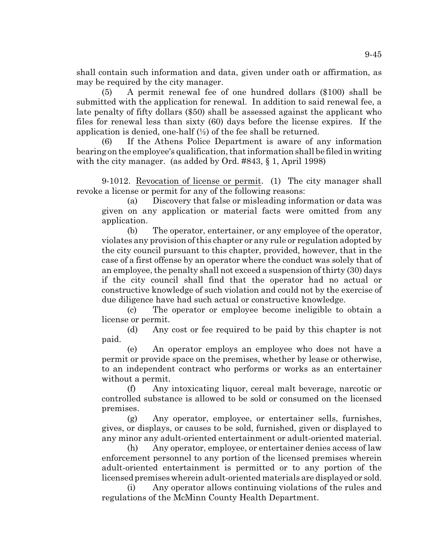shall contain such information and data, given under oath or affirmation, as may be required by the city manager.

(5) A permit renewal fee of one hundred dollars (\$100) shall be submitted with the application for renewal. In addition to said renewal fee, a late penalty of fifty dollars (\$50) shall be assessed against the applicant who files for renewal less than sixty (60) days before the license expires. If the application is denied, one-half  $(\frac{1}{2})$  of the fee shall be returned.

(6) If the Athens Police Department is aware of any information bearing on the employee's qualification, that information shall be filed in writing with the city manager. (as added by Ord. #843, § 1, April 1998)

9-1012. Revocation of license or permit. (1) The city manager shall revoke a license or permit for any of the following reasons:

(a) Discovery that false or misleading information or data was given on any application or material facts were omitted from any application.

(b) The operator, entertainer, or any employee of the operator, violates any provision of this chapter or any rule or regulation adopted by the city council pursuant to this chapter, provided, however, that in the case of a first offense by an operator where the conduct was solely that of an employee, the penalty shall not exceed a suspension of thirty (30) days if the city council shall find that the operator had no actual or constructive knowledge of such violation and could not by the exercise of due diligence have had such actual or constructive knowledge.

(c) The operator or employee become ineligible to obtain a license or permit.

(d) Any cost or fee required to be paid by this chapter is not paid.

(e) An operator employs an employee who does not have a permit or provide space on the premises, whether by lease or otherwise, to an independent contract who performs or works as an entertainer without a permit.

(f) Any intoxicating liquor, cereal malt beverage, narcotic or controlled substance is allowed to be sold or consumed on the licensed premises.

(g) Any operator, employee, or entertainer sells, furnishes, gives, or displays, or causes to be sold, furnished, given or displayed to any minor any adult-oriented entertainment or adult-oriented material.

(h) Any operator, employee, or entertainer denies access of law enforcement personnel to any portion of the licensed premises wherein adult-oriented entertainment is permitted or to any portion of the licensed premises wherein adult-oriented materials are displayed or sold.

(i) Any operator allows continuing violations of the rules and regulations of the McMinn County Health Department.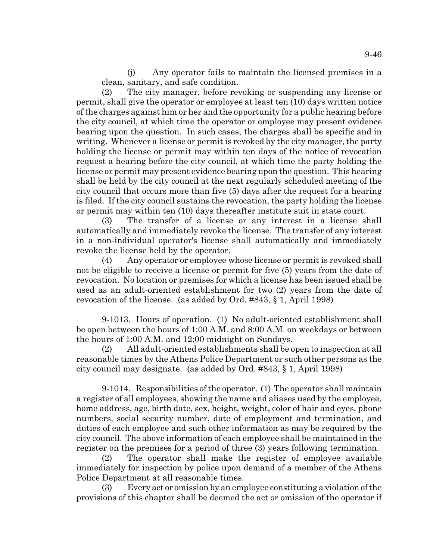(j) Any operator fails to maintain the licensed premises in a clean, sanitary, and safe condition.

(2) The city manager, before revoking or suspending any license or permit, shall give the operator or employee at least ten (10) days written notice of the charges against him or her and the opportunity for a public hearing before the city council, at which time the operator or employee may present evidence bearing upon the question. In such cases, the charges shall be specific and in writing. Whenever a license or permit is revoked by the city manager, the party holding the license or permit may within ten days of the notice of revocation request a hearing before the city council, at which time the party holding the license or permit may present evidence bearing upon the question. This hearing shall be held by the city council at the next regularly scheduled meeting of the city council that occurs more than five (5) days after the request for a hearing is filed. If the city council sustains the revocation, the party holding the license or permit may within ten (10) days thereafter institute suit in state court.

(3) The transfer of a license or any interest in a license shall automatically and immediately revoke the license. The transfer of any interest in a non-individual operator's license shall automatically and immediately revoke the license held by the operator.

(4) Any operator or employee whose license or permit is revoked shall not be eligible to receive a license or permit for five (5) years from the date of revocation. No location or premises for which a license has been issued shall be used as an adult-oriented establishment for two (2) years from the date of revocation of the license. (as added by Ord. #843, § 1, April 1998)

9-1013. Hours of operation. (1) No adult-oriented establishment shall be open between the hours of 1:00 A.M. and 8:00 A.M. on weekdays or between the hours of 1:00 A.M. and 12:00 midnight on Sundays.

(2) All adult-oriented establishments shall be open to inspection at all reasonable times by the Athens Police Department or such other persons as the city council may designate. (as added by Ord. #843, § 1, April 1998)

9-1014. Responsibilities of the operator. (1) The operator shall maintain a register of all employees, showing the name and aliases used by the employee, home address, age, birth date, sex, height, weight, color of hair and eyes, phone numbers, social security number, date of employment and termination, and duties of each employee and such other information as may be required by the city council. The above information of each employee shall be maintained in the register on the premises for a period of three (3) years following termination.

(2) The operator shall make the register of employee available immediately for inspection by police upon demand of a member of the Athens Police Department at all reasonable times.

(3) Every act or omission by an employee constituting a violation of the provisions of this chapter shall be deemed the act or omission of the operator if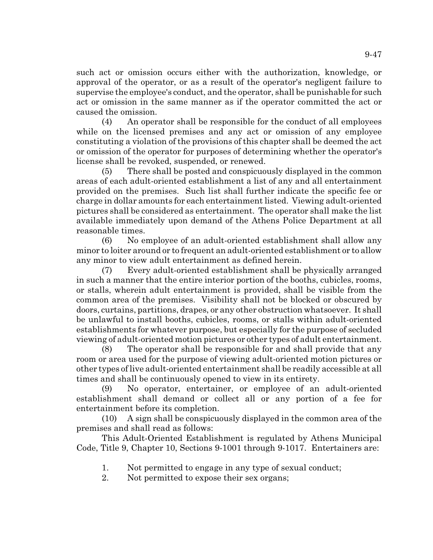such act or omission occurs either with the authorization, knowledge, or approval of the operator, or as a result of the operator's negligent failure to supervise the employee's conduct, and the operator, shall be punishable for such act or omission in the same manner as if the operator committed the act or caused the omission.

(4) An operator shall be responsible for the conduct of all employees while on the licensed premises and any act or omission of any employee constituting a violation of the provisions of this chapter shall be deemed the act or omission of the operator for purposes of determining whether the operator's license shall be revoked, suspended, or renewed.

(5) There shall be posted and conspicuously displayed in the common areas of each adult-oriented establishment a list of any and all entertainment provided on the premises. Such list shall further indicate the specific fee or charge in dollar amounts for each entertainment listed. Viewing adult-oriented pictures shall be considered as entertainment. The operator shall make the list available immediately upon demand of the Athens Police Department at all reasonable times.

(6) No employee of an adult-oriented establishment shall allow any minor to loiter around or to frequent an adult-oriented establishment or to allow any minor to view adult entertainment as defined herein.

(7) Every adult-oriented establishment shall be physically arranged in such a manner that the entire interior portion of the booths, cubicles, rooms, or stalls, wherein adult entertainment is provided, shall be visible from the common area of the premises. Visibility shall not be blocked or obscured by doors, curtains, partitions, drapes, or any other obstruction whatsoever. It shall be unlawful to install booths, cubicles, rooms, or stalls within adult-oriented establishments for whatever purpose, but especially for the purpose of secluded viewing of adult-oriented motion pictures or other types of adult entertainment.

(8) The operator shall be responsible for and shall provide that any room or area used for the purpose of viewing adult-oriented motion pictures or other types of live adult-oriented entertainment shall be readily accessible at all times and shall be continuously opened to view in its entirety.

(9) No operator, entertainer, or employee of an adult-oriented establishment shall demand or collect all or any portion of a fee for entertainment before its completion.

(10) A sign shall be conspicuously displayed in the common area of the premises and shall read as follows:

This Adult-Oriented Establishment is regulated by Athens Municipal Code, Title 9, Chapter 10, Sections 9-1001 through 9-1017. Entertainers are:

- 1. Not permitted to engage in any type of sexual conduct;
- 2. Not permitted to expose their sex organs;